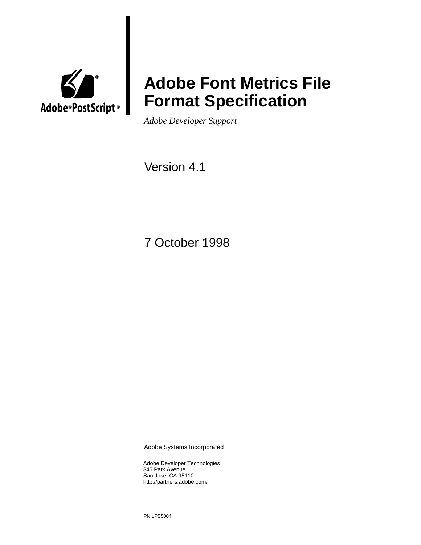

# **Adobe Font Metrics File Format Specification**

*Adobe Developer Support*

Version 4.1

7 October 1998

Adobe Systems Incorporated

Adobe Developer Technologies 345 Park Avenue San Jose, CA 95110 http://partners.adobe.com/

PN LPS5004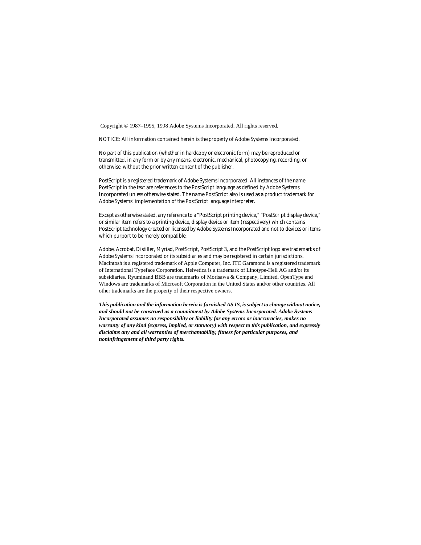Copyright © 1987–1995, 1998 Adobe Systems Incorporated. All rights reserved.

NOTICE: All information contained herein is the property of Adobe Systems Incorporated.

No part of this publication (whether in hardcopy or electronic form) may be reproduced or transmitted, in any form or by any means, electronic, mechanical, photocopying, recording, or otherwise, without the prior written consent of the publisher.

PostScript is a registered trademark of Adobe Systems Incorporated. All instances of the name PostScript in the text are references to the PostScript language as defined by Adobe Systems Incorporated unless otherwise stated. The name PostScript also is used as a product trademark for Adobe Systems' implementation of the PostScript language interpreter.

Except as otherwise stated, any reference to a "PostScript printing device," "PostScript display device," or similar item refers to a printing device, display device or item (respectively) which contains PostScript technology created or licensed by Adobe Systems Incorporated and not to devices or items which purport to be merely compatible.

Adobe, Acrobat, Distiller, Myriad, PostScript, PostScript 3, and the PostScript logo are trademarks of Adobe Systems Incorporated or its subsidiaries and may be registered in certain jurisdictions. Macintosh is a registered trademark of Apple Computer, Inc. ITC Garamond is a registered trademark of International Typeface Corporation. Helvetica is a trademark of Linotype-Hell AG and/or its subsidiaries. Ryuminand BBB are trademarks of Morisawa & Company, Limited. OpenType and Windows are trademarks of Microsoft Corporation in the United States and/or other countries. All other trademarks are the property of their respective owners.

*This publication and the information herein is furnished AS IS, is subject to change without notice, and should not be construed as a commitment by Adobe Systems Incorporated. Adobe Systems Incorporated assumes no responsibility or liability for any errors or inaccuracies, makes no warranty of any kind (express, implied, or statutory) with respect to this publication, and expressly disclaims any and all warranties of merchantability, fitness for particular purposes, and noninfringement of third party rights.*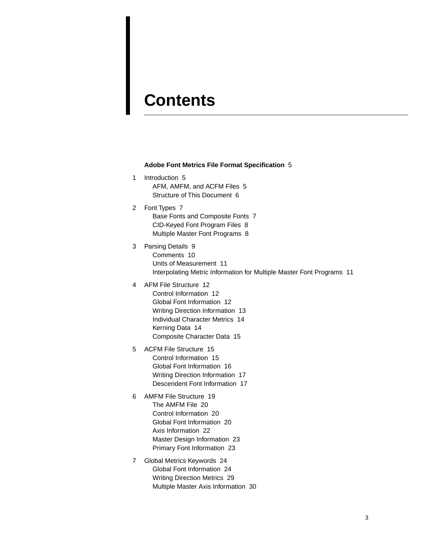## **[Contents](#page-4-0)**

#### **[Adobe Font Metrics File Format Specification](#page-4-1)** 5

- [1 Introduction 5](#page-4-2) [AFM, AMFM, and ACFM Files 5](#page-4-3) [Structure of This Document 6](#page-5-0)
- [2 Font Types 7](#page-6-0) [Base Fonts and Composite Fonts 7](#page-6-1) [CID-Keyed Font Program Files 8](#page-7-0) [Multiple Master Font Programs 8](#page-7-1)
- [3 Parsing Details 9](#page-8-0) [Comments 10](#page-9-0) [Units of Measurement 11](#page-10-0) [Interpolating Metric Information for Multiple Master Font Programs 11](#page-10-1)
- [4 AFM File Structure 12](#page-11-0)

[Control Information 12](#page-11-1) [Global Font Information 12](#page-11-2) [Writing Direction Information 13](#page-12-0) [Individual Character Metrics 14](#page-13-0) [Kerning Data 14](#page-13-1) [Composite Character Data 15](#page-14-0)

- [5 ACFM File Structure 15](#page-14-1) [Control Information 15](#page-14-2) [Global Font Information 16](#page-15-0) [Writing Direction Information 17](#page-16-0) [Descendent Font Information 17](#page-16-1)
- [6 AMFM File Structure 19](#page-18-0) [The AMFM File 20](#page-19-0) [Control Information 20](#page-19-1) [Global Font Information 20](#page-19-2) [Axis Information 22](#page-21-0) [Master Design Information 23](#page-22-0) [Primary Font Information 23](#page-22-1)
- [7 Global Metrics Keywords 24](#page-23-0) [Global Font Information 24](#page-23-1) [Writing Direction Metrics 29](#page-28-0) [Multiple Master Axis Information 30](#page-29-0)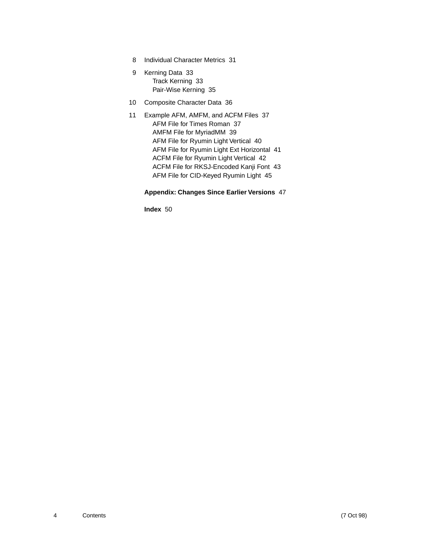- [8 Individual Character Metrics 31](#page-30-0)
- [9 Kerning Data 33](#page-32-0) [Track Kerning 33](#page-32-1) [Pair-Wise Kerning 35](#page-35-0)
- [10 Composite Character Data 36](#page-36-0)
- [11 Example AFM, AMFM, and ACFM Files 37](#page-37-0) [AFM File for Times Roman 37](#page-37-1) [AMFM File for MyriadMM 39](#page-39-0) [AFM File for Ryumin Light Vertical 40](#page-40-0) [AFM File for Ryumin Light Ext Horizontal 41](#page-41-0) [ACFM File for Ryumin Light Vertical 42](#page-42-0) [ACFM File for RKSJ-Encoded Kanji Font 43](#page-43-0) [AFM File for CID-Keyed Ryumin Light 45](#page-45-0)

#### **[Appendix: Changes Since Earlier Versions](#page-47-0)** 47

**[Index](#page-50-0)** 50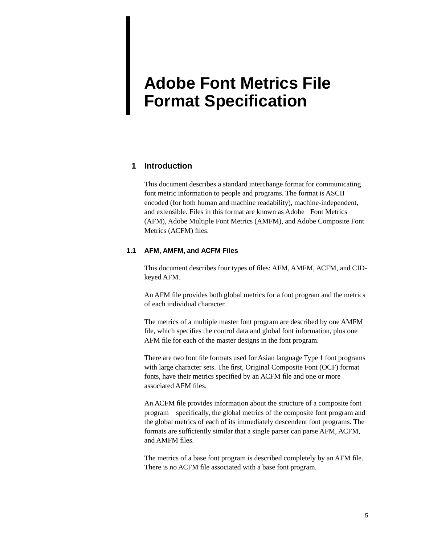# <span id="page-4-1"></span><span id="page-4-0"></span>**Adobe Font Metrics File Format Specification**

#### <span id="page-4-2"></span>**1 Introduction**

This document describes a standard interchange format for communicating font metric information to people and programs. The format is ASCII encoded (for both human and machine readability), machine-independent, and extensible. Files in this format are known as Adobe™ Font Metrics (AFM), Adobe Multiple Font Metrics (AMFM), and Adobe Composite Font Metrics (ACFM) files.

#### <span id="page-4-3"></span>**1.1 AFM, AMFM, and ACFM Files**

This document describes four types of files: AFM, AMFM, ACFM, and CIDkeyed AFM.

An AFM file provides both global metrics for a font program and the metrics of each individual character.

The metrics of a multiple master font program are described by one AMFM file, which specifies the control data and global font information, plus one AFM file for each of the master designs in the font program.

There are two font file formats used for Asian language Type 1 font programs with large character sets. The first, Original Composite Font (OCF) format fonts, have their metrics specified by an ACFM file and one or more associated AFM files.

An ACFM file provides information about the structure of a composite font program—specifically, the global metrics of the composite font program and the global metrics of each of its immediately descendent font programs. The formats are sufficiently similar that a single parser can parse AFM, ACFM, and AMFM files.

The metrics of a base font program is described completely by an AFM file. There is no ACFM file associated with a base font program.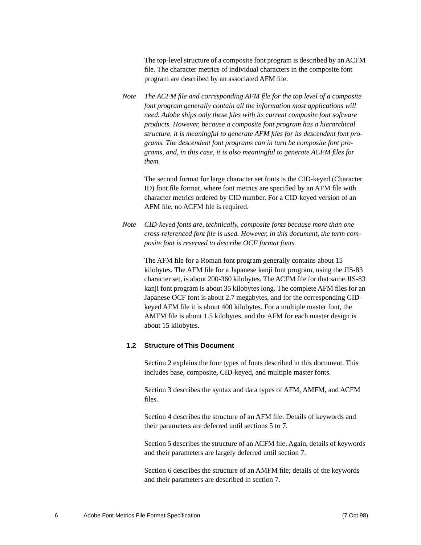The top-level structure of a composite font program is described by an ACFM file. The character metrics of individual characters in the composite font program are described by an associated AFM file.

*Note The ACFM file and corresponding AFM file for the top level of a composite font program generally contain all the information most applications will need. Adobe ships only these files with its current composite font software products. However, because a composite font program has a hierarchical structure, it is meaningful to generate AFM files for its descendent font programs. The descendent font programs can in turn be composite font programs, and, in this case, it is also meaningful to generate ACFM files for them.*

The second format for large character set fonts is the CID-keyed (Character ID) font file format, where font metrics are specified by an AFM file with character metrics ordered by CID number. For a CID-keyed version of an AFM file, no ACFM file is required.

*Note CID-keyed fonts are, technically, composite fonts because more than one cross-referenced font file is used. However, in this document, the term composite font is reserved to describe OCF format fonts.*

The AFM file for a Roman font program generally contains about 15 kilobytes. The AFM file for a Japanese kanji font program, using the JIS-83 character set, is about 200-360 kilobytes. The ACFM file for that same JIS-83 kanji font program is about 35 kilobytes long. The complete AFM files for an Japanese OCF font is about 2.7 megabytes, and for the corresponding CIDkeyed AFM file it is about 400 kilobytes. For a multiple master font, the AMFM file is about 1.5 kilobytes, and the AFM for each master design is about 15 kilobytes.

#### <span id="page-5-0"></span>**1.2 Structure of This Document**

[Section 2](#page-6-0) explains the four types of fonts described in this document. This includes base, composite, CID-keyed, and multiple master fonts.

[Section 3](#page-8-0) describes the syntax and data types of AFM, AMFM, and ACFM files.

[Section 4](#page-11-0) describes the structure of an AFM file. Details of keywords and their parameters are deferred until sections 5 to 7.

[Section 5](#page-14-1) describes the structure of an ACFM file. Again, details of keywords and their parameters are largely deferred until [section 7.](#page-23-0)

[Section 6](#page-18-0) describes the structure of an AMFM file; details of the keywords and their parameters are described in section 7.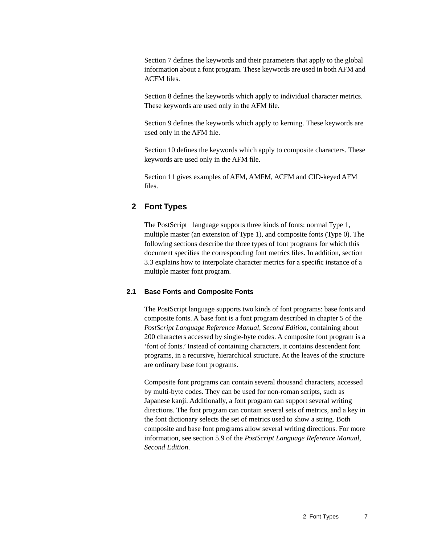[Section 7](#page-23-0) defines the keywords and their parameters that apply to the global information about a font program. These keywords are used in both AFM and ACFM files.

[Section 8](#page-30-0) defines the keywords which apply to individual character metrics. These keywords are used only in the AFM file.

[Section 9](#page-32-0) defines the keywords which apply to kerning. These keywords are used only in the AFM file.

[Section 10](#page-36-0) defines the keywords which apply to composite characters. These keywords are used only in the AFM file.

[Section 11](#page-37-0) gives examples of AFM, AMFM, ACFM and CID-keyed AFM files.

#### <span id="page-6-0"></span>**2 Font Types**

The PostScript<sup> $M$ </sup> language supports three kinds of fonts: normal Type 1, multiple master (an extension of Type 1), and composite fonts (Type 0). The following sections describe the three types of font programs for which this document specifies the corresponding font metrics files. In addition, [section](#page-10-1)  [3.3](#page-10-1) explains how to interpolate character metrics for a specific instance of a multiple master font program.

#### <span id="page-6-1"></span>**2.1 Base Fonts and Composite Fonts**

The PostScript language supports two kinds of font programs: base fonts and composite fonts. A base font is a font program described in chapter 5 of the *PostScript Language Reference Manual, Second Edition*, containing about 200 characters accessed by single-byte codes. A composite font program is a 'font of fonts.' Instead of containing characters, it contains descendent font programs, in a recursive, hierarchical structure. At the leaves of the structure are ordinary base font programs.

Composite font programs can contain several thousand characters, accessed by multi-byte codes. They can be used for non-roman scripts, such as Japanese kanji. Additionally, a font program can support several writing directions. The font program can contain several sets of metrics, and a key in the font dictionary selects the set of metrics used to show a string. Both composite and base font programs allow several writing directions. For more information, see section 5.9 of the *PostScript Language Reference Manual, Second Edition*.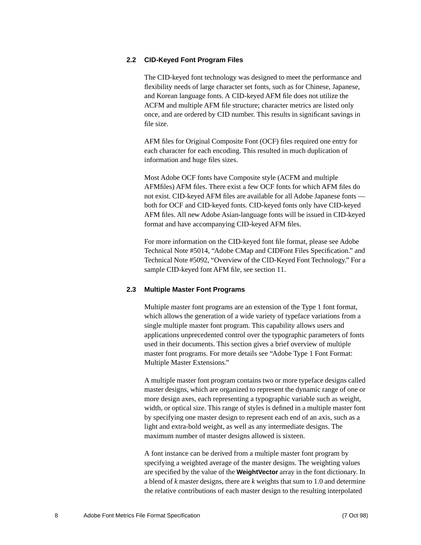#### <span id="page-7-0"></span>**2.2 CID-Keyed Font Program Files**

The CID-keyed font technology was designed to meet the performance and flexibility needs of large character set fonts, such as for Chinese, Japanese, and Korean language fonts. A CID-keyed AFM file does not utilize the ACFM and multiple AFM file structure; character metrics are listed only once, and are ordered by CID number. This results in significant savings in file size.

AFM files for Original Composite Font (OCF) files required one entry for each character for each encoding. This resulted in much duplication of information and huge files sizes.

Most Adobe OCF fonts have Composite style (ACFM and multiple AFMfiles) AFM files. There exist a few OCF fonts for which AFM files do not exist. CID-keyed AFM files are available for all Adobe Japanese fonts both for OCF and CID-keyed fonts. CID-keyed fonts only have CID-keyed AFM files. All new Adobe Asian-language fonts will be issued in CID-keyed format and have accompanying CID-keyed AFM files.

For more information on the CID-keyed font file format, please see Adobe Technical Note #5014, "Adobe CMap and CIDFont Files Specification." and Technical Note #5092, "Overview of the CID-Keyed Font Technology." For a sample CID-keyed font AFM file, see [section 11](#page-37-0).

#### <span id="page-7-1"></span>**2.3 Multiple Master Font Programs**

Multiple master font programs are an extension of the Type 1 font format, which allows the generation of a wide variety of typeface variations from a single multiple master font program. This capability allows users and applications unprecedented control over the typographic parameters of fonts used in their documents. This section gives a brief overview of multiple master font programs. For more details see "Adobe Type 1 Font Format: Multiple Master Extensions."

A multiple master font program contains two or more typeface designs called master designs, which are organized to represent the dynamic range of one or more design axes, each representing a typographic variable such as weight, width, or optical size. This range of styles is defined in a multiple master font by specifying one master design to represent each end of an axis, such as a light and extra-bold weight, as well as any intermediate designs. The maximum number of master designs allowed is sixteen.

A font instance can be derived from a multiple master font program by specifying a weighted average of the master designs. The weighting values are specified by the value of the **WeightVector** array in the font dictionary. In a blend of *k* master designs, there are *k* weights that sum to 1.0 and determine the relative contributions of each master design to the resulting interpolated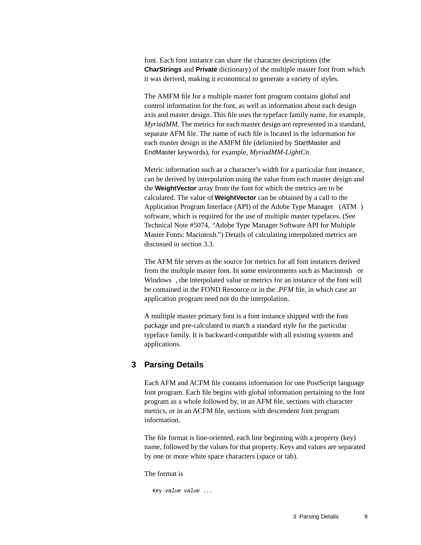font. Each font instance can share the character descriptions (the **CharStrings** and **Private** dictionary) of the multiple master font from which it was derived, making it economical to generate a variety of styles.

The AMFM file for a multiple master font program contains global and control information for the font, as well as information about each design axis and master design. This file uses the typeface family name, for example, *MyriadMM*. The metrics for each master design are represented in a standard, separate AFM file. The name of each file is located in the information for each master design in the AMFM file (delimited by StartMaster and EndMaster keywords), for example, *MyriadMM-LightCn*.

Metric information such as a character's width for a particular font instance, can be derived by interpolation using the value from each master design and the **WeightVector** array from the font for which the metrics are to be calculated. The value of **WeightVector** can be obtained by a call to the Application Program Interface (API) of the Adobe Type Manager<sup>™</sup> (ATM<sup>™</sup>) software, which is required for the use of multiple master typefaces. (See Technical Note #5074, *"*Adobe Type Manager Software API for Multiple Master Fonts: Macintosh.") Details of calculating interpolated metrics are discussed in [section 3.3](#page-10-1).

The AFM file serves as the source for metrics for all font instances derived from the multiple master font. In some environments such as Macintosh<sup>®</sup> or Windows<sup> $M$ </sup>, the interpolated value or metrics for an instance of the font will be contained in the FOND Resource or in the *.PFM* file, in which case an application program need not do the interpolation.

A multiple master primary font is a font instance shipped with the font package and pre-calculated to match a standard style for the particular typeface family. It is backward-compatible with all existing systems and applications.

#### <span id="page-8-0"></span>**3 Parsing Details**

Each AFM and ACFM file contains information for one PostScript language font program. Each file begins with global information pertaining to the font program as a whole followed by, in an AFM file, sections with character metrics, or in an ACFM file, sections with descendent font program information.

The file format is line-oriented, each line beginning with a property (key) name, followed by the values for that property. Keys and values are separated by one or more white space characters (space or tab).

The format is

Key value value ...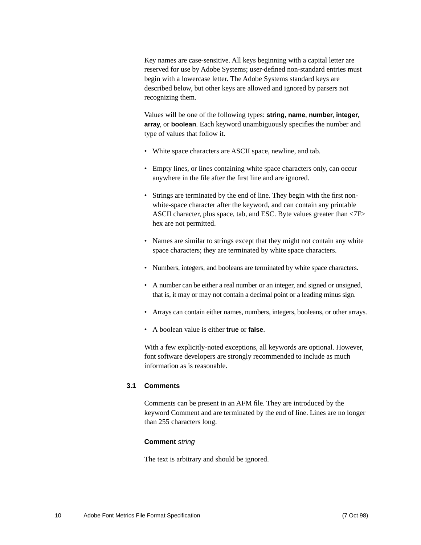Key names are case-sensitive. All keys beginning with a capital letter are reserved for use by Adobe Systems; user-defined non-standard entries must begin with a lowercase letter. The Adobe Systems standard keys are described below, but other keys are allowed and ignored by parsers not recognizing them.

Values will be one of the following types: **string**, **name**, **number**, **integer**, **array**, or **boolean**. Each keyword unambiguously specifies the number and type of values that follow it.

- White space characters are ASCII space, newline, and tab.
- Empty lines, or lines containing white space characters only, can occur anywhere in the file after the first line and are ignored.
- Strings are terminated by the end of line. They begin with the first nonwhite-space character after the keyword, and can contain any printable ASCII character, plus space, tab, and ESC. Byte values greater than <7F> hex are not permitted.
- Names are similar to strings except that they might not contain any white space characters; they are terminated by white space characters.
- Numbers, integers, and booleans are terminated by white space characters.
- A number can be either a real number or an integer, and signed or unsigned, that is, it may or may not contain a decimal point or a leading minus sign.
- Arrays can contain either names, numbers, integers, booleans, or other arrays.
- A boolean value is either **true** or **false**.

With a few explicitly-noted exceptions, all keywords are optional. However, font software developers are strongly recommended to include as much information as is reasonable.

#### <span id="page-9-0"></span>**3.1 Comments**

Comments can be present in an AFM file. They are introduced by the keyword Comment and are terminated by the end of line. Lines are no longer than 255 characters long.

#### **Comment** string

The text is arbitrary and should be ignored.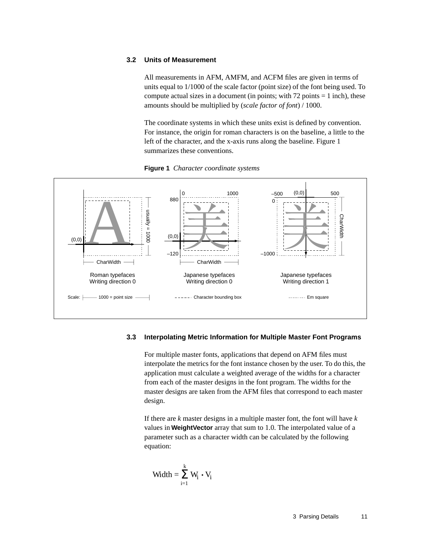#### <span id="page-10-0"></span>**3.2 Units of Measurement**

All measurements in AFM, AMFM, and ACFM files are given in terms of units equal to 1/1000 of the scale factor (point size) of the font being used. To compute actual sizes in a document (in points; with  $72$  points  $= 1$  inch), these amounts should be multiplied by (*scale factor of font*) / 1000.

The coordinate systems in which these units exist is defined by convention. For instance, the origin for roman characters is on the baseline, a little to the left of the character, and the x-axis runs along the baseline. Figure 1 summarizes these conventions.





#### <span id="page-10-1"></span>**3.3 Interpolating Metric Information for Multiple Master Font Programs**

For multiple master fonts, applications that depend on AFM files must interpolate the metrics for the font instance chosen by the user. To do this, the application must calculate a weighted average of the widths for a character from each of the master designs in the font program. The widths for the master designs are taken from the AFM files that correspond to each master design.

If there are *k* master designs in a multiple master font, the font will have *k* values in **WeightVector** array that sum to 1.0. The interpolated value of a parameter such as a character width can be calculated by the following equation:

$$
Width = \sum_{i=1}^k \, W_i \mathrel{\bullet} V_i
$$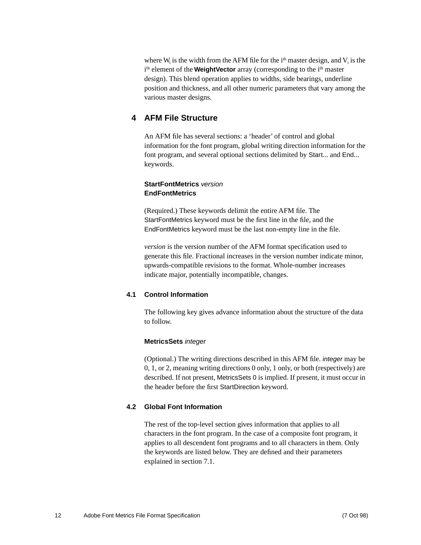where  $W_i$  is the width from the AFM file for the  $i<sup>th</sup>$  master design, and  $V_i$  is the i<sup>th</sup> element of the **WeightVector** array (corresponding to the i<sup>th</sup> master design). This blend operation applies to widths, side bearings, underline position and thickness, and all other numeric parameters that vary among the various master designs.

#### <span id="page-11-0"></span>**4 AFM File Structure**

An AFM file has several sections: a 'header' of control and global information for the font program, global writing direction information for the font program, and several optional sections delimited by Start... and End... keywords.

#### **StartFontMetrics** version **EndFontMetrics**

(Required.) These keywords delimit the entire AFM file. The StartFontMetrics keyword must be the first line in the file, and the EndFontMetrics keyword must be the last non-empty line in the file.

*version* is the version number of the AFM format specification used to generate this file. Fractional increases in the version number indicate minor, upwards-compatible revisions to the format. Whole-number increases indicate major, potentially incompatible, changes.

#### <span id="page-11-1"></span>**4.1 Control Information**

The following key gives advance information about the structure of the data to follow.

#### **MetricsSets** integer

(Optional.) The writing directions described in this AFM file. integer may be 0, 1, or 2, meaning writing directions 0 only, 1 only, or both (respectively) are described. If not present, MetricsSets 0 is implied. If present, it must occur in the header before the first StartDirection keyword.

#### <span id="page-11-2"></span>**4.2 Global Font Information**

The rest of the top-level section gives information that applies to all characters in the font program. In the case of a composite font program, it applies to all descendent font programs and to all characters in them. Only the keywords are listed below. They are defined and their parameters explained in [section 7.1.](#page-23-1)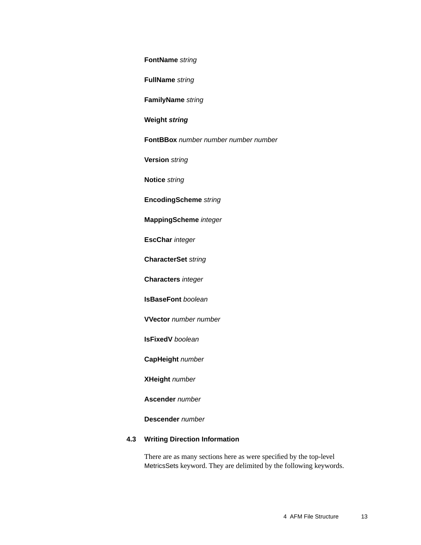#### **FontName** string

**FullName** string

**FamilyName** string

#### **Weight string**

**FontBBox** number number number number

**Version** string

**Notice** string

**EncodingScheme** string

**MappingScheme** integer

**EscChar** integer

**CharacterSet** string

**Characters** integer

**IsBaseFont** boolean

**VVector** number number

**IsFixedV** boolean

**CapHeight** number

**XHeight** number

**Ascender** number

**Descender** number

#### <span id="page-12-0"></span>**4.3 Writing Direction Information**

There are as many sections here as were specified by the top-level MetricsSets keyword. They are delimited by the following keywords.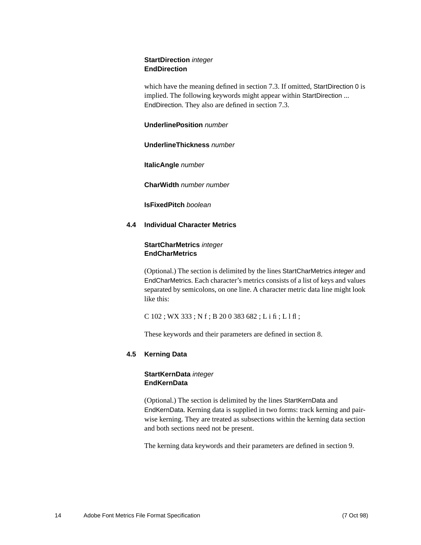#### **StartDirection** integer **EndDirection**

which have the meaning defined in [section 7.3](#page-29-0). If omitted, StartDirection 0 is implied. The following keywords might appear within StartDirection ... EndDirection. They also are defined in [section 7.3](#page-29-0).

#### **UnderlinePosition** number

#### **UnderlineThickness** number

**ItalicAngle** number

**CharWidth** number number

**IsFixedPitch** boolean

#### <span id="page-13-0"></span>**4.4 Individual Character Metrics**

#### **StartCharMetrics** integer **EndCharMetrics**

(Optional.) The section is delimited by the lines StartCharMetrics integer and EndCharMetrics. Each character's metrics consists of a list of keys and values separated by semicolons, on one line. A character metric data line might look like this:

C 102 ; WX 333 ; N f ; B 20 0 383 682 ; L i fi ; L l fl ;

These keywords and their parameters are defined in [section 8.](#page-30-0)

#### <span id="page-13-1"></span>**4.5 Kerning Data**

#### **StartKernData** integer **EndKernData**

(Optional.) The section is delimited by the lines StartKernData and EndKernData. Kerning data is supplied in two forms: track kerning and pairwise kerning. They are treated as subsections within the kerning data section and both sections need not be present.

The kerning data keywords and their parameters are defined in [section 9.](#page-32-0)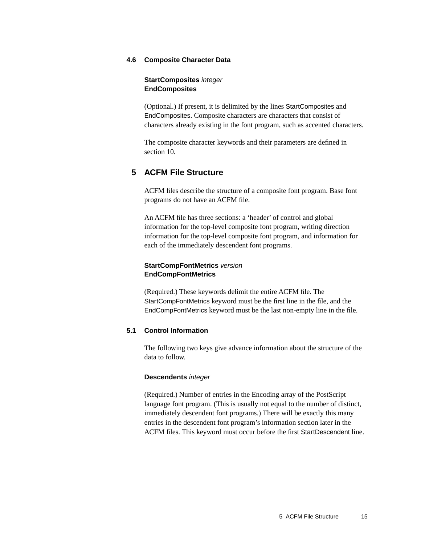#### <span id="page-14-0"></span>**4.6 Composite Character Data**

#### **StartComposites** integer **EndComposites**

(Optional.) If present, it is delimited by the lines StartComposites and EndComposites. Composite characters are characters that consist of characters already existing in the font program, such as accented characters.

The composite character keywords and their parameters are defined in [section 10.](#page-36-0)

#### <span id="page-14-1"></span>**5 ACFM File Structure**

ACFM files describe the structure of a composite font program. Base font programs do not have an ACFM file.

An ACFM file has three sections: a 'header' of control and global information for the top-level composite font program, writing direction information for the top-level composite font program, and information for each of the immediately descendent font programs.

#### **StartCompFontMetrics** version **EndCompFontMetrics**

(Required.) These keywords delimit the entire ACFM file. The StartCompFontMetrics keyword must be the first line in the file, and the EndCompFontMetrics keyword must be the last non-empty line in the file.

#### <span id="page-14-2"></span>**5.1 Control Information**

The following two keys give advance information about the structure of the data to follow.

#### **Descendents** integer

(Required.) Number of entries in the Encoding array of the PostScript language font program. (This is usually not equal to the number of distinct, immediately descendent font programs.) There will be exactly this many entries in the descendent font program's information section later in the ACFM files. This keyword must occur before the first StartDescendent line.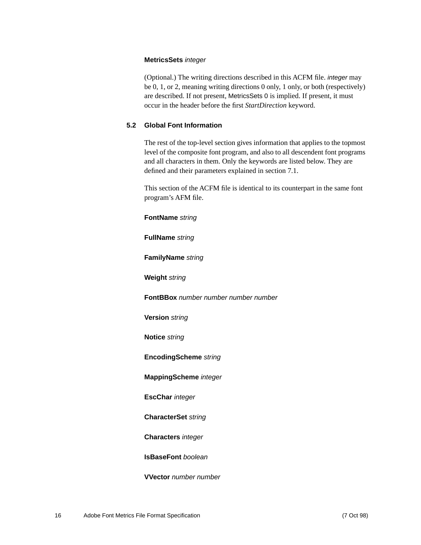#### **MetricsSets** integer

(Optional.) The writing directions described in this ACFM file. integer may be 0, 1, or 2, meaning writing directions 0 only, 1 only, or both (respectively) are described. If not present, MetricsSets 0 is implied. If present, it must occur in the header before the first *StartDirection* keyword.

#### <span id="page-15-0"></span>**5.2 Global Font Information**

The rest of the top-level section gives information that applies to the topmost level of the composite font program, and also to all descendent font programs and all characters in them. Only the keywords are listed below. They are defined and their parameters explained in [section 7.1.](#page-23-1)

This section of the ACFM file is identical to its counterpart in the same font program's AFM file.

**FontName** string

**FullName** string

**FamilyName** string

**Weight** string

**FontBBox** number number number number

**Version** string

**Notice** string

**EncodingScheme** string

**MappingScheme** integer

**EscChar** integer

**CharacterSet** string

**Characters** integer

**IsBaseFont** boolean

**VVector** number number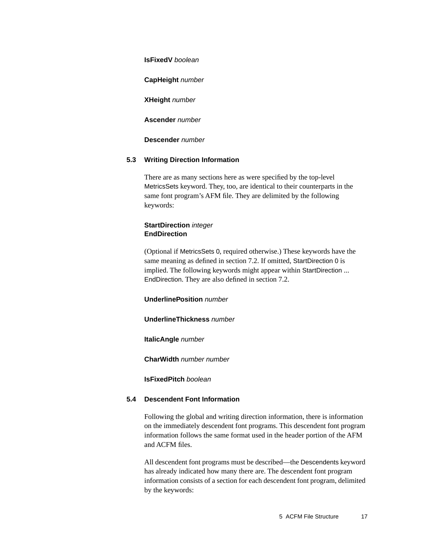**IsFixedV** boolean

**CapHeight** number

**XHeight** number

**Ascender** number

**Descender** number

#### <span id="page-16-0"></span>**5.3 Writing Direction Information**

There are as many sections here as were specified by the top-level MetricsSets keyword. They, too, are identical to their counterparts in the same font program's AFM file. They are delimited by the following keywords:

#### **StartDirection** integer **EndDirection**

(Optional if MetricsSets 0, required otherwise.) These keywords have the same meaning as defined in [section 7.2](#page-28-0). If omitted, StartDirection 0 is implied. The following keywords might appear within StartDirection ... EndDirection. They are also defined in [section 7.2](#page-28-0).

#### **UnderlinePosition** number

#### **UnderlineThickness** number

**ItalicAngle** number

**CharWidth** number number

**IsFixedPitch** boolean

#### <span id="page-16-1"></span>**5.4 Descendent Font Information**

Following the global and writing direction information, there is information on the immediately descendent font programs. This descendent font program information follows the same format used in the header portion of the AFM and ACFM files.

All descendent font programs must be described—the Descendents keyword has already indicated how many there are. The descendent font program information consists of a section for each descendent font program, delimited by the keywords: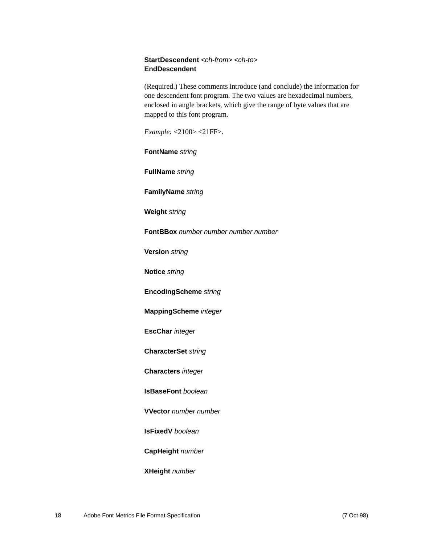#### **StartDescendent** <ch-from> <ch-to> **EndDescendent**

(Required.) These comments introduce (and conclude) the information for one descendent font program. The two values are hexadecimal numbers, enclosed in angle brackets, which give the range of byte values that are mapped to this font program.

*Example:* <2100> <21FF>.

**FontName** string

**FullName** string

**FamilyName** string

**Weight** string

**FontBBox** number number number number

**Version** string

**Notice** string

**EncodingScheme** string

**MappingScheme** integer

**EscChar** integer

**CharacterSet** string

**Characters** integer

**IsBaseFont** boolean

**VVector** number number

**IsFixedV** boolean

**CapHeight** number

**XHeight** number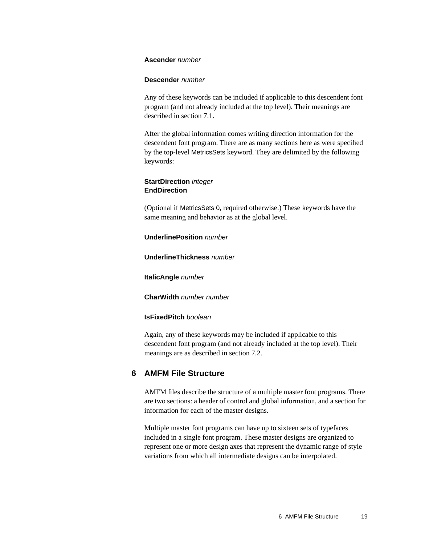#### **Ascender** number

#### **Descender** number

Any of these keywords can be included if applicable to this descendent font program (and not already included at the top level). Their meanings are described in [section 7.1](#page-23-1).

After the global information comes writing direction information for the descendent font program. There are as many sections here as were specified by the top-level MetricsSets keyword. They are delimited by the following keywords:

#### **StartDirection** integer **EndDirection**

(Optional if MetricsSets 0, required otherwise.) These keywords have the same meaning and behavior as at the global level.

#### **UnderlinePosition** number

#### **UnderlineThickness** number

**ItalicAngle** number

**CharWidth** number number

**IsFixedPitch** boolean

Again, any of these keywords may be included if applicable to this descendent font program (and not already included at the top level). Their meanings are as described in [section 7.2.](#page-28-0)

#### <span id="page-18-0"></span>**6 AMFM File Structure**

AMFM files describe the structure of a multiple master font programs. There are two sections: a header of control and global information, and a section for information for each of the master designs.

Multiple master font programs can have up to sixteen sets of typefaces included in a single font program. These master designs are organized to represent one or more design axes that represent the dynamic range of style variations from which all intermediate designs can be interpolated.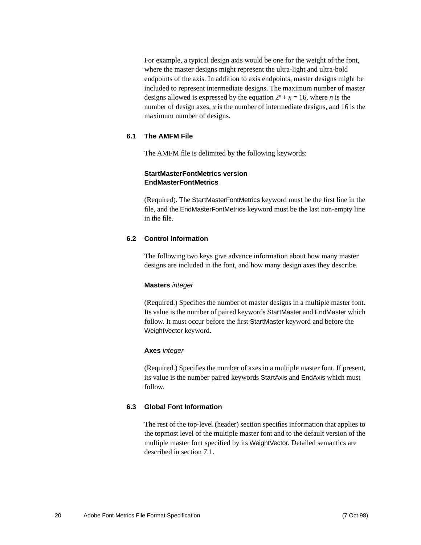For example, a typical design axis would be one for the weight of the font, where the master designs might represent the ultra-light and ultra-bold endpoints of the axis. In addition to axis endpoints, master designs might be included to represent intermediate designs. The maximum number of master designs allowed is expressed by the equation  $2^n + x = 16$ , where *n* is the number of design axes, *x* is the number of intermediate designs, and 16 is the maximum number of designs.

#### <span id="page-19-0"></span>**6.1 The AMFM File**

The AMFM file is delimited by the following keywords:

#### **StartMasterFontMetrics version EndMasterFontMetrics**

(Required). The StartMasterFontMetrics keyword must be the first line in the file, and the EndMasterFontMetrics keyword must be the last non-empty line in the file.

#### <span id="page-19-1"></span>**6.2 Control Information**

The following two keys give advance information about how many master designs are included in the font, and how many design axes they describe.

#### **Masters** integer

(Required.) Specifies the number of master designs in a multiple master font. Its value is the number of paired keywords StartMaster and EndMaster which follow. It must occur before the first StartMaster keyword and before the WeightVector keyword.

#### **Axes** integer

(Required.) Specifies the number of axes in a multiple master font. If present, its value is the number paired keywords StartAxis and EndAxis which must follow.

#### <span id="page-19-2"></span>**6.3 Global Font Information**

The rest of the top-level (header) section specifies information that applies to the topmost level of the multiple master font and to the default version of the multiple master font specified by its WeightVector. Detailed semantics are described in [section 7.1](#page-23-1).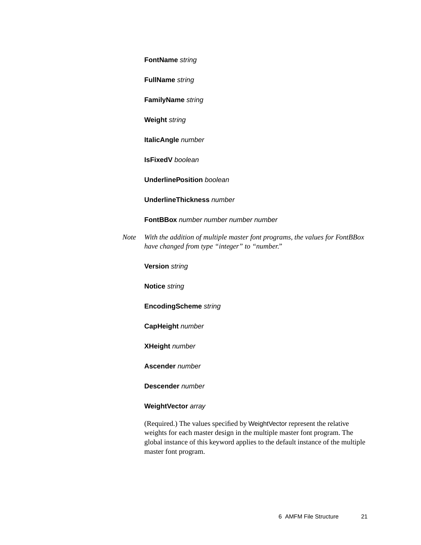#### **FontName** string

**FullName** string

**FamilyName** string

**Weight** string

**ItalicAngle** number

**IsFixedV** boolean

**UnderlinePosition** boolean

#### **UnderlineThickness** number

**FontBBox** number number number number

*Note With the addition of multiple master font programs, the values for FontBBox have changed from type "integer" to "number."*

**Version** string

**Notice** string

**EncodingScheme** string

**CapHeight** number

**XHeight** number

**Ascender** number

**Descender** number

#### **WeightVector** array

(Required.) The values specified by WeightVector represent the relative weights for each master design in the multiple master font program. The global instance of this keyword applies to the default instance of the multiple master font program.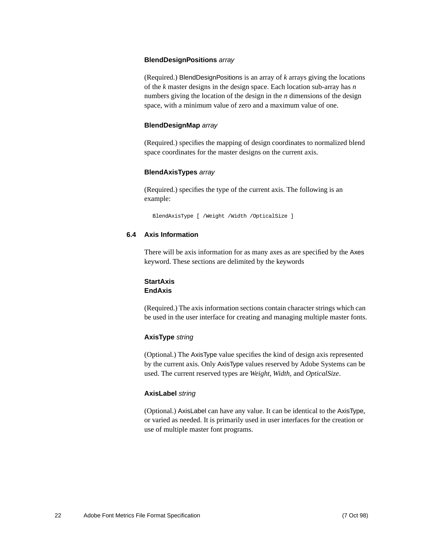#### **BlendDesignPositions** array

(Required.) BlendDesignPositions is an array of *k* arrays giving the locations of the *k* master designs in the design space. Each location sub-array has *n* numbers giving the location of the design in the *n* dimensions of the design space, with a minimum value of zero and a maximum value of one.

#### **BlendDesignMap** array

(Required.) specifies the mapping of design coordinates to normalized blend space coordinates for the master designs on the current axis.

#### **BlendAxisTypes** array

(Required.) specifies the type of the current axis. The following is an example:

BlendAxisType [ /Weight /Width /OpticalSize ]

#### <span id="page-21-0"></span>**6.4 Axis Information**

There will be axis information for as many axes as are specified by the Axes keyword. These sections are delimited by the keywords

#### **StartAxis EndAxis**

(Required.) The axis information sections contain character strings which can be used in the user interface for creating and managing multiple master fonts.

#### **AxisType** string

(Optional.) The AxisType value specifies the kind of design axis represented by the current axis. Only AxisType values reserved by Adobe Systems can be used. The current reserved types are *Weight*, *Width*, and *OpticalSize*.

#### **AxisLabel** string

(Optional.) AxisLabel can have any value. It can be identical to the AxisType, or varied as needed. It is primarily used in user interfaces for the creation or use of multiple master font programs.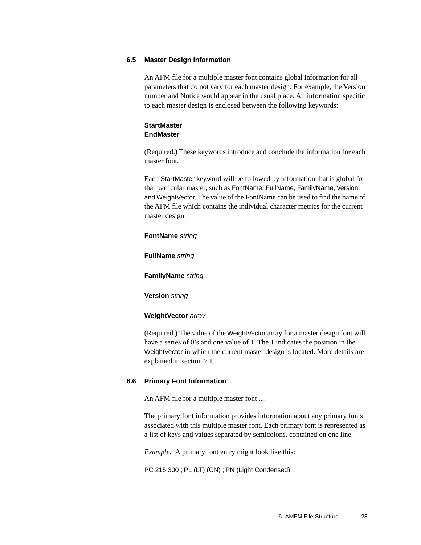#### <span id="page-22-0"></span>**6.5 Master Design Information**

An AFM file for a multiple master font contains global information for all parameters that do not vary for each master design. For example, the Version number and Notice would appear in the usual place. All information specific to each master design is enclosed between the following keywords:

#### **StartMaster EndMaster**

(Required.) These keywords introduce and conclude the information for each master font.

Each StartMaster keyword will be followed by information that is global for that particular master, such as FontName, FullName, FamilyName, Version, and WeightVector. The value of the FontName can be used to find the name of the AFM file which contains the individual character metrics for the current master design.

#### **FontName** string

**FullName** string

**FamilyName** string

**Version** string

#### **WeightVector** array

(Required.) The value of the WeightVector array for a master design font will have a series of 0's and one value of 1. The 1 indicates the position in the WeightVector in which the current master design is located. More details are explained in [section 7.1.](#page-23-1)

#### <span id="page-22-1"></span>**6.6 Primary Font Information**

An AFM file for a multiple master font ....

The primary font information provides information about any primary fonts associated with this multiple master font. Each primary font is represented as a list of keys and values separated by semicolons, contained on one line.

*Example:* A primary font entry might look like this:

PC 215 300 ; PL (LT) (CN) ; PN (Light Condensed) ;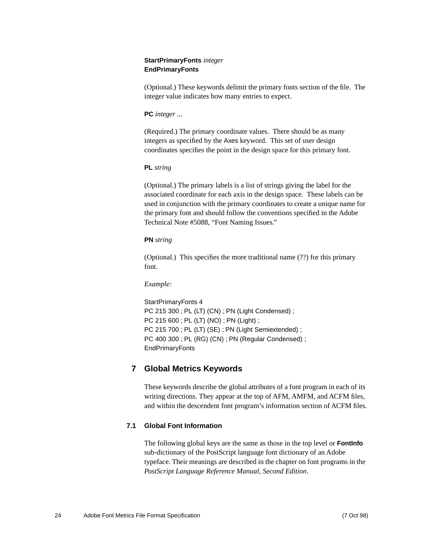#### **StartPrimaryFonts** *integer* **EndPrimaryFonts**

(Optional.) These keywords delimit the primary fonts section of the file. The integer value indicates how many entries to expect.

#### **PC** *integer ...*

(Required.) The primary coordinate values. There should be as many integers as specified by the Axes keyword. This set of user design coordinates specifies the point in the design space for this primary font.

#### **PL** *string*

(Optional.) The primary labels is a list of strings giving the label for the associated coordinate for each axis in the design space. These labels can be used in conjunction with the primary coordinates to create a unique name for the primary font and should follow the conventions specified in the Adobe Technical Note #5088, "Font Naming Issues."

#### **PN** *string*

(Optional.) This specifies the more traditional name (??) for this primary font.

#### *Example:*

<span id="page-23-2"></span>StartPrimaryFonts 4 PC 215 300 ; PL (LT) (CN) ; PN (Light Condensed) ; PC 215 600 ; PL (LT) (NO) ; PN (Light) ; PC 215 700 ; PL (LT) (SE) ; PN (Light Semiextended) ; PC 400 300 ; PL (RG) (CN) ; PN (Regular Condensed) ; EndPrimaryFonts

### <span id="page-23-0"></span>**7 Global Metrics Keywords**

These keywords describe the global attributes of a font program in each of its writing directions. They appear at the top of AFM, AMFM, and ACFM files, and within the descendent font program's information section of ACFM files.

#### <span id="page-23-1"></span>**7.1 Global Font Information**

The following global keys are the same as those in the top level or **FontInfo** sub-dictionary of the PostScript language font dictionary of an Adobe typeface. Their meanings are described in the chapter on font programs in the *PostScript Language Reference Manual, Second Edition*.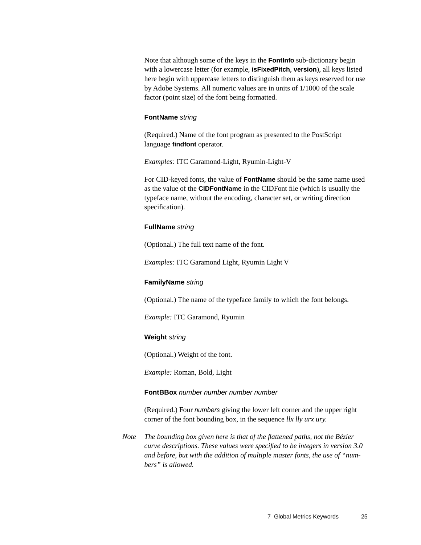Note that although some of the keys in the **FontInfo** sub-dictionary begin with a lowercase letter (for example, **isFixedPitch**, **version**), all keys listed here begin with uppercase letters to distinguish them as keys reserved for use by Adobe Systems. All numeric values are in units of 1/1000 of the scale factor (point size) of the font being formatted.

#### **FontName** string

(Required.) Name of the font program as presented to the PostScript language **findfont** operator.

*Examples:* ITC Garamond-Light, Ryumin-Light-V

For CID-keyed fonts, the value of **FontName** should be the same name used as the value of the **CIDFontName** in the CIDFont file (which is usually the typeface name, without the encoding, character set, or writing direction specification).

#### **FullName** string

(Optional.) The full text name of the font.

*Examples:* ITC Garamond Light, Ryumin Light V

#### **FamilyName** string

(Optional.) The name of the typeface family to which the font belongs.

*Example:* ITC Garamond, Ryumin

#### **Weight** string

(Optional.) Weight of the font.

*Example:* Roman, Bold, Light

#### **FontBBox** number number number number

(Required.) Four numbers giving the lower left corner and the upper right corner of the font bounding box, in the sequence *llx lly urx ury*.

*Note The bounding box given here is that of the flattened paths, not the Bézier curve descriptions. These values were specified to be integers in version 3.0 and before, but with the addition of multiple master fonts, the use of "numbers" is allowed.*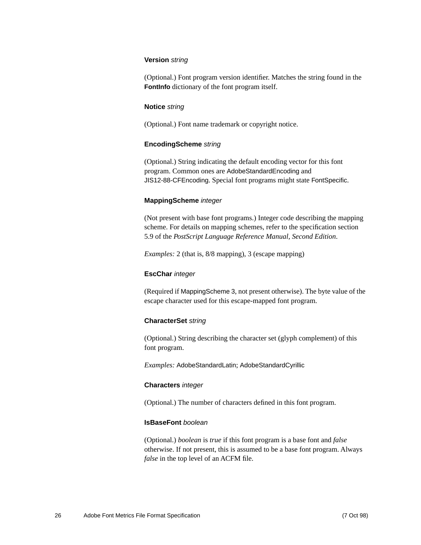#### **Version** string

(Optional.) Font program version identifier. Matches the string found in the **FontInfo** dictionary of the font program itself.

#### **Notice** string

(Optional.) Font name trademark or copyright notice.

#### **EncodingScheme** string

(Optional.) String indicating the default encoding vector for this font program. Common ones are AdobeStandardEncoding and JIS12-88-CFEncoding. Special font programs might state FontSpecific.

#### **MappingScheme** integer

(Not present with base font programs.) Integer code describing the mapping scheme. For details on mapping schemes, refer to the specification section 5.9 of the *PostScript Language Reference Manual, Second Edition*.

*Examples:* 2 (that is, 8/8 mapping), 3 (escape mapping)

#### **EscChar** integer

(Required if MappingScheme 3, not present otherwise). The byte value of the escape character used for this escape-mapped font program.

#### **CharacterSet** string

(Optional.) String describing the character set (glyph complement) of this font program.

*Examples:* AdobeStandardLatin; AdobeStandardCyrillic

#### **Characters** integer

(Optional.) The number of characters defined in this font program.

#### **IsBaseFont** boolean

(Optional.) *boolean* is *true* if this font program is a base font and *false* otherwise. If not present, this is assumed to be a base font program. Always *false* in the top level of an ACFM file.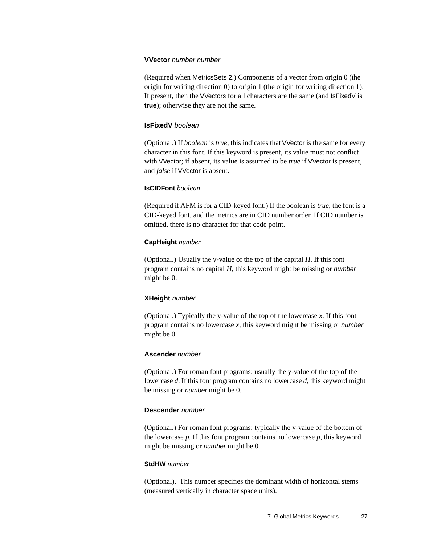#### **VVector** number number

(Required when MetricsSets 2.) Components of a vector from origin 0 (the origin for writing direction 0) to origin 1 (the origin for writing direction 1). If present, then the VVectors for all characters are the same (and IsFixedV is **true**); otherwise they are not the same.

#### **IsFixedV** boolean

(Optional.) If *boolean* is *true*, this indicates that VVector is the same for every character in this font. If this keyword is present, its value must not conflict with VVector; if absent, its value is assumed to be *true* if VVector is present, and *false* if VVector is absent.

#### **IsCIDFont** *boolean*

(Required if AFM is for a CID-keyed font.) If the boolean is *true*, the font is a CID-keyed font, and the metrics are in CID number order. If CID number is omitted, there is no character for that code point.

#### **CapHeight** *number*

(Optional.) Usually the y-value of the top of the capital *H*. If this font program contains no capital *H*, this keyword might be missing or number might be 0.

#### **XHeight** number

(Optional.) Typically the y-value of the top of the lowercase *x*. If this font program contains no lowercase *x*, this keyword might be missing or number might be 0.

#### **Ascender** number

(Optional.) For roman font programs: usually the y-value of the top of the lowercase *d*. If this font program contains no lowercase *d*, this keyword might be missing or number might be 0.

#### **Descender** number

(Optional.) For roman font programs: typically the y-value of the bottom of the lowercase *p*. If this font program contains no lowercase *p*, this keyword might be missing or number might be 0.

#### **StdHW** *number*

(Optional). This number specifies the dominant width of horizontal stems (measured vertically in character space units).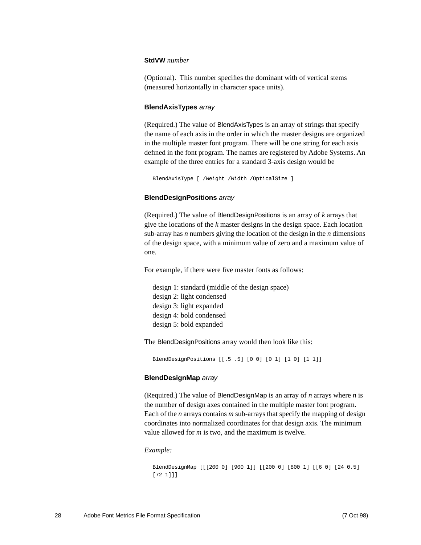#### **StdVW** *number*

(Optional). This number specifies the dominant with of vertical stems (measured horizontally in character space units).

#### **BlendAxisTypes** array

(Required.) The value of BlendAxisTypes is an array of strings that specify the name of each axis in the order in which the master designs are organized in the multiple master font program. There will be one string for each axis defined in the font program. The names are registered by Adobe Systems. An example of the three entries for a standard 3-axis design would be

```
BlendAxisType [ /Weight /Width /OpticalSize ]
```
#### **BlendDesignPositions** array

(Required.) The value of BlendDesignPositions is an array of *k* arrays that give the locations of the *k* master designs in the design space. Each location sub-array has *n* numbers giving the location of the design in the *n* dimensions of the design space, with a minimum value of zero and a maximum value of one.

For example, if there were five master fonts as follows:

design 1: standard (middle of the design space) design 2: light condensed design 3: light expanded design 4: bold condensed design 5: bold expanded

The BlendDesignPositions array would then look like this:

BlendDesignPositions [[.5 .5] [0 0] [0 1] [1 0] [1 1]]

#### **BlendDesignMap** array

(Required.) The value of BlendDesignMap is an array of *n* arrays where *n* is the number of design axes contained in the multiple master font program. Each of the *n* arrays contains *m* sub-arrays that specify the mapping of design coordinates into normalized coordinates for that design axis. The minimum value allowed for *m* is two, and the maximum is twelve.

#### *Example:*

```
BlendDesignMap [[[200 0] [900 1]] [[200 0] [800 1] [[6 0] [24 0.5] 
[72 1]]]
```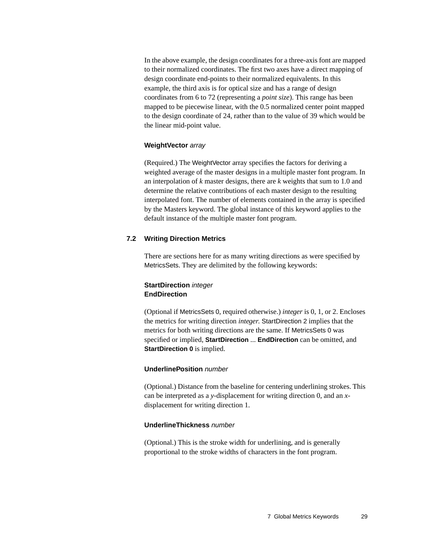In the above example, the design coordinates for a three-axis font are mapped to their normalized coordinates. The first two axes have a direct mapping of design coordinate end-points to their normalized equivalents. In this example, the third axis is for optical size and has a range of design coordinates from 6 to 72 (representing a *point size*). This range has been mapped to be piecewise linear, with the 0.5 normalized center point mapped to the design coordinate of 24, rather than to the value of 39 which would be the linear mid-point value.

#### **WeightVector** array

(Required.) The WeightVector array specifies the factors for deriving a weighted average of the master designs in a multiple master font program. In an interpolation of *k* master designs, there are *k* weights that sum to 1.0 and determine the relative contributions of each master design to the resulting interpolated font. The number of elements contained in the array is specified by the Masters keyword. The global instance of this keyword applies to the default instance of the multiple master font program.

#### <span id="page-28-0"></span>**7.2 Writing Direction Metrics**

There are sections here for as many writing directions as were specified by MetricsSets. They are delimited by the following keywords:

#### **StartDirection** integer **EndDirection**

(Optional if MetricsSets 0, required otherwise.) *integer* is 0, 1, or 2. Encloses the metrics for writing direction *integer*. StartDirection 2 implies that the metrics for both writing directions are the same. If MetricsSets 0 was specified or implied, **StartDirection** ... **EndDirection** can be omitted, and **StartDirection 0** is implied.

#### **UnderlinePosition** number

(Optional.) Distance from the baseline for centering underlining strokes. This can be interpreted as a *y*-displacement for writing direction 0, and an *x*displacement for writing direction 1.

#### **UnderlineThickness** number

(Optional.) This is the stroke width for underlining, and is generally proportional to the stroke widths of characters in the font program.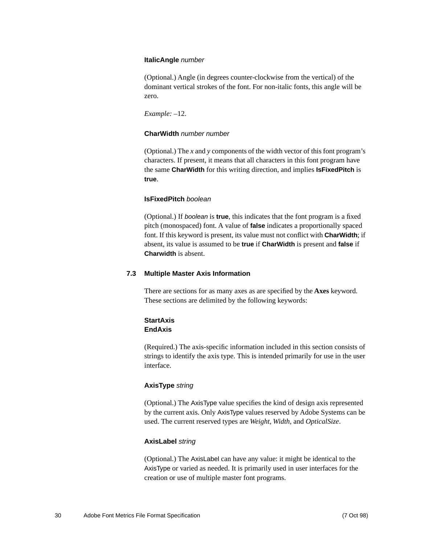#### **ItalicAngle** number

(Optional.) Angle (in degrees counter-clockwise from the vertical) of the dominant vertical strokes of the font. For non-italic fonts, this angle will be zero.

*Example:* –12.

#### **CharWidth** number number

(Optional.) The *x* and *y* components of the width vector of this font program's characters. If present, it means that all characters in this font program have the same **CharWidth** for this writing direction, and implies **IsFixedPitch** is **true**.

#### **IsFixedPitch** boolean

(Optional.) If boolean is **true**, this indicates that the font program is a fixed pitch (monospaced) font. A value of **false** indicates a proportionally spaced font. If this keyword is present, its value must not conflict with **CharWidth**; if absent, its value is assumed to be **true** if **CharWidth** is present and **false** if **Charwidth** is absent.

#### <span id="page-29-0"></span>**7.3 Multiple Master Axis Information**

There are sections for as many axes as are specified by the **Axes** keyword. These sections are delimited by the following keywords:

#### **StartAxis EndAxis**

(Required.) The axis-specific information included in this section consists of strings to identify the axis type. This is intended primarily for use in the user interface.

#### **AxisType** string

(Optional.) The AxisType value specifies the kind of design axis represented by the current axis. Only AxisType values reserved by Adobe Systems can be used. The current reserved types are *Weight*, *Width*, and *OpticalSize*.

#### **AxisLabel** string

(Optional.) The AxisLabel can have any value: it might be identical to the AxisType or varied as needed. It is primarily used in user interfaces for the creation or use of multiple master font programs.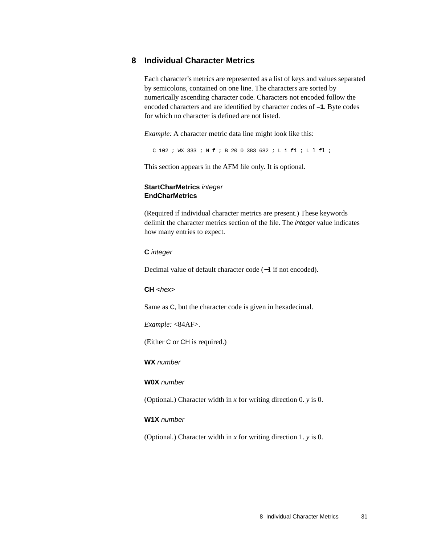#### <span id="page-30-0"></span>**8 Individual Character Metrics**

Each character's metrics are represented as a list of keys and values separated by semicolons, contained on one line. The characters are sorted by numerically ascending character code. Characters not encoded follow the encoded characters and are identified by character codes of **–1**. Byte codes for which no character is defined are not listed.

*Example:* A character metric data line might look like this:

C 102 ; WX 333 ; N f ; B 20 0 383 682 ; L i fi ; L l fl ;

This section appears in the AFM file only. It is optional.

#### **StartCharMetrics** integer **EndCharMetrics**

(Required if individual character metrics are present.) These keywords delimit the character metrics section of the file. The integer value indicates how many entries to expect.

#### **C** integer

Decimal value of default character code (−1 if not encoded).

#### $CH < hex$

Same as C, but the character code is given in hexadecimal.

*Example:* <84AF>.

(Either C or CH is required.)

**WX** number

#### **W0X** number

(Optional.) Character width in *x* for writing direction 0. *y* is 0.

#### **W1X** number

(Optional.) Character width in *x* for writing direction 1. *y* is 0.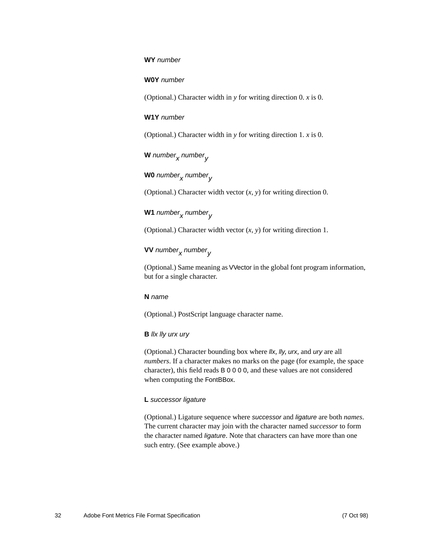#### **WY** number

#### **W0Y** number

(Optional.) Character width in *y* for writing direction 0. *x* is 0.

#### **W1Y** number

(Optional.) Character width in *y* for writing direction 1. *x* is 0.

**W** number<sub>x</sub> number<sub>y</sub>

## **W0** number<sub>x</sub> number<sub>y</sub>

(Optional.) Character width vector (*x, y*) for writing direction 0.

### W1 number<sub>x</sub> number<sub>v</sub>

(Optional.) Character width vector (*x, y*) for writing direction 1.

## **VV** number<sub>x</sub> number<sub>v</sub>

(Optional.) Same meaning as VVector in the global font program information, but for a single character.

#### **N** name

(Optional.) PostScript language character name.

#### **B** llx lly urx ury

(Optional.) Character bounding box where  $\mathit{llx}$ ,  $\mathit{lly}$ , urx, and ury are all *numbers*. If a character makes no marks on the page (for example, the space character), this field reads B 0 0 0 0, and these values are not considered when computing the FontBBox.

#### **L** successor ligature

(Optional.) Ligature sequence where successor and ligature are both *names*. The current character may join with the character named *successor* to form the character named ligature. Note that characters can have more than one such entry. (See example above.)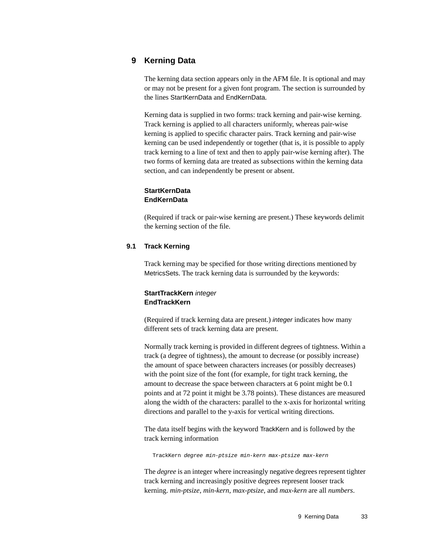#### <span id="page-32-0"></span>**9 Kerning Data**

The kerning data section appears only in the AFM file. It is optional and may or may not be present for a given font program. The section is surrounded by the lines StartKernData and EndKernData.

Kerning data is supplied in two forms: track kerning and pair-wise kerning. Track kerning is applied to all characters uniformly, whereas pair-wise kerning is applied to specific character pairs. Track kerning and pair-wise kerning can be used independently or together (that is, it is possible to apply track kerning to a line of text and then to apply pair-wise kerning after). The two forms of kerning data are treated as subsections within the kerning data section, and can independently be present or absent.

#### **StartKernData EndKernData**

(Required if track or pair-wise kerning are present.) These keywords delimit the kerning section of the file.

#### <span id="page-32-1"></span>**9.1 Track Kerning**

Track kerning may be specified for those writing directions mentioned by MetricsSets. The track kerning data is surrounded by the keywords:

#### **StartTrackKern** integer **EndTrackKern**

(Required if track kerning data are present.) integer indicates how many different sets of track kerning data are present.

Normally track kerning is provided in different degrees of tightness. Within a track (a degree of tightness), the amount to decrease (or possibly increase) the amount of space between characters increases (or possibly decreases) with the point size of the font (for example, for tight track kerning, the amount to decrease the space between characters at 6 point might be 0.1 points and at 72 point it might be 3.78 points). These distances are measured along the width of the characters: parallel to the x-axis for horizontal writing directions and parallel to the y-axis for vertical writing directions.

The data itself begins with the keyword TrackKern and is followed by the track kerning information

TrackKern degree min-ptsize min-kern max-ptsize max-kern

The *degree* is an integer where increasingly negative degrees represent tighter track kerning and increasingly positive degrees represent looser track kerning. *min-ptsize*, *min-kern*, *max-ptsize*, and *max-kern* are all *numbers*.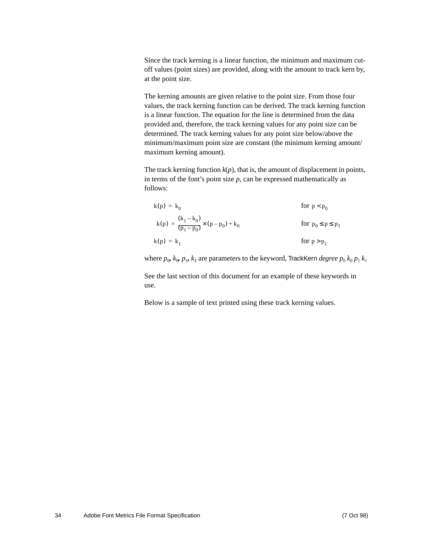Since the track kerning is a linear function, the minimum and maximum cutoff values (point sizes) are provided, along with the amount to track kern by, at the point size.

The kerning amounts are given relative to the point size. From those four values, the track kerning function can be derived. The track kerning function is a linear function. The equation for the line is determined from the data provided and, therefore, the track kerning values for any point size can be determined. The track kerning values for any point size below/above the minimum/maximum point size are constant (the minimum kerning amount/ maximum kerning amount).

The track kerning function  $k(p)$ , that is, the amount of displacement in points, in terms of the font's point size  $p$ , can be expressed mathematically as follows:

$$
k(p) = k_0
$$
 for  $p < p_0$   
\n
$$
k(p) = \frac{(k_1 - k_0)}{(p_1 - p_0)} \times (p - p_0) + k_0
$$
 for  $p_0 \le p \le p_1$   
\n
$$
k(p) = k_1
$$
 for  $p > p_1$ 

where  $p_0$ ,  $k_0$ ,  $p_1$ ,  $k_1$  are parameters to the keyword, TrackKern *degree*  $p_0$ ,  $k_0$ ,  $p_1$ ,  $k_1$ 

See the last section of this document for an example of these keywords in use.

Below is a sample of text printed using these track kerning values.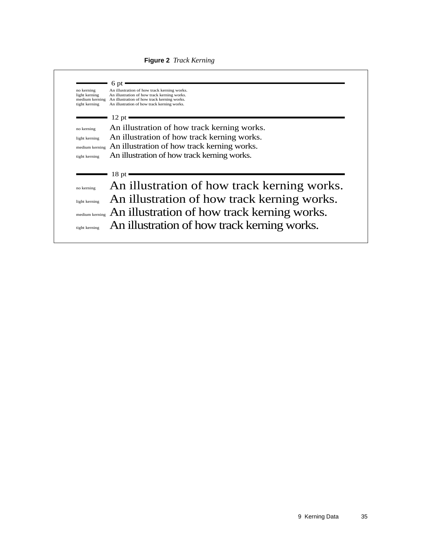

**Figure 2** *Track Kerning*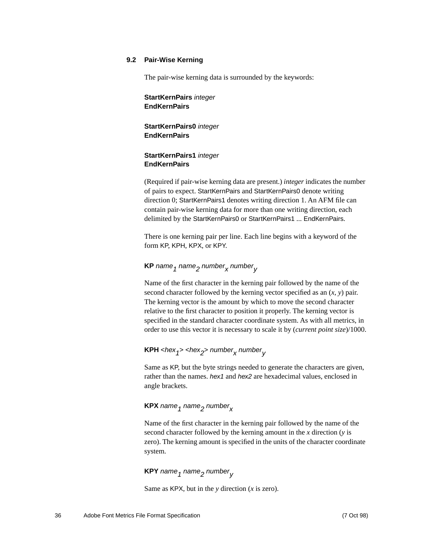#### <span id="page-35-0"></span>**9.2 Pair-Wise Kerning**

The pair-wise kerning data is surrounded by the keywords:

#### **StartKernPairs** integer **EndKernPairs**

#### **StartKernPairs0** integer **EndKernPairs**

#### **StartKernPairs1** integer **EndKernPairs**

(Required if pair-wise kerning data are present.) *integer* indicates the number of pairs to expect. StartKernPairs and StartKernPairs0 denote writing direction 0; StartKernPairs1 denotes writing direction 1. An AFM file can contain pair-wise kerning data for more than one writing direction, each delimited by the StartKernPairs0 or StartKernPairs1 ... EndKernPairs.

There is one kerning pair per line. Each line begins with a keyword of the form KP, KPH, KPX, or KPY.

## $\mathsf{KP}\xspace$  name  $_1$  name $_2$  number $_\mathsf{X}\xspace$  number $_\mathsf{Y}\xspace$

Name of the first character in the kerning pair followed by the name of the second character followed by the kerning vector specified as an (*x, y*) pair. The kerning vector is the amount by which to move the second character relative to the first character to position it properly. The kerning vector is specified in the standard character coordinate system. As with all metrics, in order to use this vector it is necessary to scale it by (*current point size*)/1000.

### **KPH** <hex<sub>1</sub>> <hex<sub>2</sub>> number<sub>x</sub> number<sub>v</sub>

Same as KP, but the byte strings needed to generate the characters are given, rather than the names. hex1 and hex2 are hexadecimal values, enclosed in angle brackets.

### **KPX** name<sub>1</sub> name<sub>2</sub> number<sub>x</sub>

Name of the first character in the kerning pair followed by the name of the second character followed by the kerning amount in the *x* direction (*y* is zero). The kerning amount is specified in the units of the character coordinate system.

#### **KPY** name<sub>1</sub> name<sub>2</sub> number<sub>v</sub>

Same as KPX, but in the *y* direction (*x* is zero).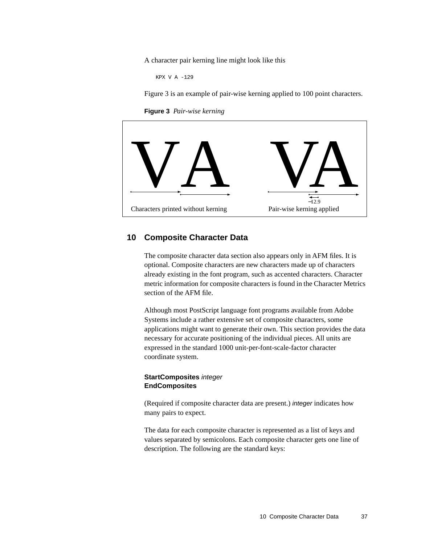A character pair kerning line might look like this

KPX V A -129

[Figure 3](#page-36-1) is an example of pair-wise kerning applied to 100 point characters.

**Figure 3** *Pair-wise kerning*

<span id="page-36-1"></span>

#### <span id="page-36-0"></span>**10 Composite Character Data**

The composite character data section also appears only in AFM files. It is optional. Composite characters are new characters made up of characters already existing in the font program, such as accented characters. Character metric information for composite characters is found in the Character Metrics section of the AFM file.

Although most PostScript language font programs available from Adobe Systems include a rather extensive set of composite characters, some applications might want to generate their own. This section provides the data necessary for accurate positioning of the individual pieces. All units are expressed in the standard 1000 unit-per-font-scale-factor character coordinate system.

#### **StartComposites** integer **EndComposites**

(Required if composite character data are present.) integer indicates how many pairs to expect.

The data for each composite character is represented as a list of keys and values separated by semicolons. Each composite character gets one line of description. The following are the standard keys: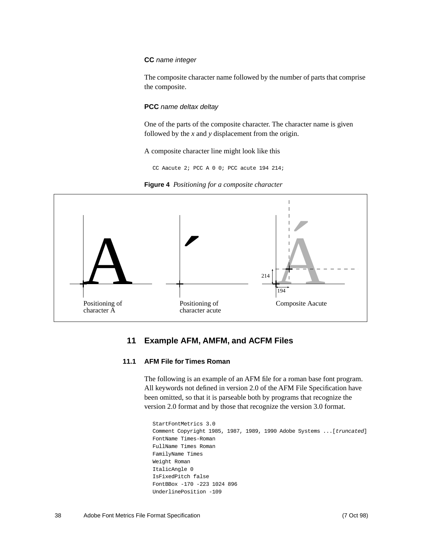#### **CC** name integer

The composite character name followed by the number of parts that comprise the composite.

#### **PCC** name deltax deltay

One of the parts of the composite character. The character name is given followed by the *x* and *y* displacement from the origin.

A composite character line might look like this

CC Aacute 2; PCC A 0 0; PCC acute 194 214;





#### **11 Example AFM, AMFM, and ACFM Files**

#### <span id="page-37-1"></span><span id="page-37-0"></span>**11.1 AFM File for Times Roman**

The following is an example of an AFM file for a roman base font program. All keywords not defined in version 2.0 of the AFM File Specification have been omitted, so that it is parseable both by programs that recognize the version 2.0 format and by those that recognize the version 3.0 format.

```
StartFontMetrics 3.0
Comment Copyright 1985, 1987, 1989, 1990 Adobe Systems ...[truncated]
FontName Times-Roman
FullName Times Roman
FamilyName Times
Weight Roman
ItalicAngle 0
IsFixedPitch false
FontBBox -170 -223 1024 896
UnderlinePosition -109
```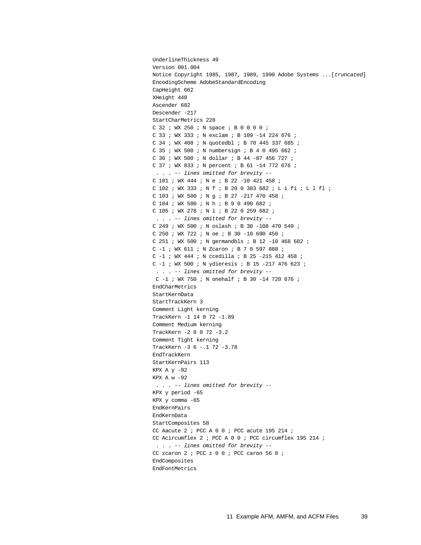```
UnderlineThickness 49
Version 001.004
Notice Copyright 1985, 1987, 1989, 1990 Adobe Systems ...[truncated]
EncodingScheme AdobeStandardEncoding
CapHeight 662
XHeight 448
Ascender 682
Descender -217
StartCharMetrics 228
C 32 ; WX 250 ; N space ; B 0 0 0 0 ;
C 33 ; WX 333 ; N exclam ; B 109 -14 224 676 ;
C 34 ; WX 408 ; N quotedbl ; B 70 445 337 685 ;
C 35 ; WX 500 ; N numbersign ; B 4 0 495 662 ;
C 36 ; WX 500 ; N dollar ; B 44 -87 456 727 ;
C 37 ; WX 833 ; N percent ; B 61 -14 772 676 ;
  . . . -- lines omitted for brevity --
C 101 ; WX 444 ; N e ; B 22 -10 421 458 ;
C 102 ; WX 333 ; N f ; B 20 0 383 682 ; L i fi ; L l fl ;
C 103 ; WX 500 ; N g ; B 27 -217 470 458 ;
C 104 ; WX 500 ; N h ; B 9 0 490 682 ;
C 105 ; WX 278 ; N i ; B 22 0 259 682 ;
  . . . -- lines omitted for brevity --
C 249 ; WX 500 ; N oslash ; B 30 -108 470 549 ;
C 250 ; WX 722 ; N oe ; B 30 -10 690 458 ;
C 251 ; WX 500 ; N germandbls ; B 12 -10 468 682 ;
C -1 ; WX 611 ; N Zcaron ; B 7 0 597 888 ;
C -1 ; WX 444 ; N ccedilla ; B 25 -215 412 458 ;
C -1 ; WX 500 ; N ydieresis ; B 15 -217 476 623 ;
    . . . -- lines omitted for brevity --
 C -1 ; WX 750 ; N onehalf ; B 30 -14 720 676 ;
EndCharMetrics
StartKernData
StartTrackKern 3
Comment Light kerning
TrackKern -1 14 0 72 -1.89
Comment Medium kerning
TrackKern -2 8 0 72 -3.2
Comment Tight kerning
TrackKern -3 6 -.1 72 -3.78
EndTrackKern
StartKernPairs 113
KPX A y -92
KPX A w -92
  . . . -- lines omitted for brevity --
KPX y period -65
KPX y comma -65
EndKernPairs
EndKernData
StartComposites 58
CC Aacute 2 ; PCC A 0 0 ; PCC acute 195 214 ;
CC Acircumflex 2 ; PCC A 0 0 ; PCC circumflex 195 214 ;
  . . . -- lines omitted for brevity --
CC zcaron 2 ; PCC z 0 0 ; PCC caron 56 0 ;
EndComposites
EndFontMetrics
```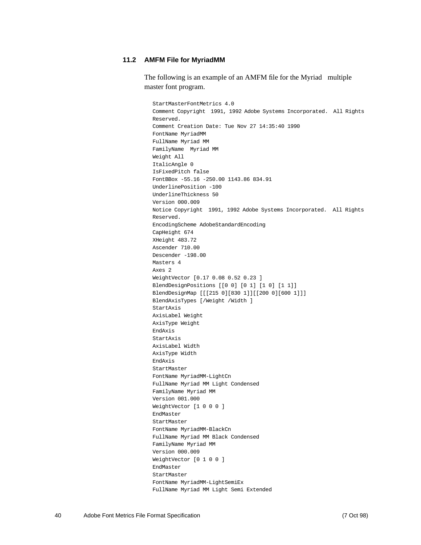#### <span id="page-39-0"></span>**11.2 AMFM File for MyriadMM**

The following is an example of an AMFM file for the Myriad<sup> $m$ </sup> multiple master font program.

StartMasterFontMetrics 4.0 Comment Copyright 1991, 1992 Adobe Systems Incorporated. All Rights Reserved. Comment Creation Date: Tue Nov 27 14:35:40 1990 FontName MyriadMM FullName Myriad MM FamilyName Myriad MM Weight All ItalicAngle 0 IsFixedPitch false FontBBox -55.16 -250.00 1143.86 834.91 UnderlinePosition -100 UnderlineThickness 50 Version 000.009 Notice Copyright 1991, 1992 Adobe Systems Incorporated. All Rights Reserved. EncodingScheme AdobeStandardEncoding CapHeight 674 XHeight 483.72 Ascender 710.00 Descender -198.00 Masters 4 Axes 2 WeightVector [0.17 0.08 0.52 0.23 ] BlendDesignPositions [[0 0] [0 1] [1 0] [1 1]] BlendDesignMap [[[215 0][830 1]][[200 0][600 1]]] BlendAxisTypes [/Weight /Width ] StartAxis AxisLabel Weight AxisType Weight EndAxis StartAxis AxisLabel Width AxisType Width EndAxis StartMaster FontName MyriadMM-LightCn FullName Myriad MM Light Condensed FamilyName Myriad MM Version 001.000 WeightVector [1 0 0 0 ] EndMaster StartMaster FontName MyriadMM-BlackCn FullName Myriad MM Black Condensed FamilyName Myriad MM Version 000.009 WeightVector [0 1 0 0 ] EndMaster StartMaster FontName MyriadMM-LightSemiEx FullName Myriad MM Light Semi Extended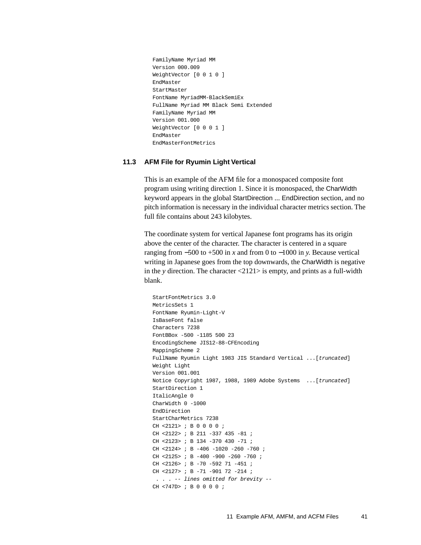```
FamilyName Myriad MM
Version 000.009
WeightVector [0 0 1 0 ]
EndMaster
StartMaster
FontName MyriadMM-BlackSemiEx
FullName Myriad MM Black Semi Extended
FamilyName Myriad MM
Version 001.000
WeightVector [0 0 0 1 ]
EndMaster
EndMasterFontMetrics
```
#### <span id="page-40-0"></span>**11.3 AFM File for Ryumin Light Vertical**

This is an example of the AFM file for a monospaced composite font program using writing direction 1. Since it is monospaced, the CharWidth keyword appears in the global StartDirection ... EndDirection section, and no pitch information is necessary in the individual character metrics section. The full file contains about 243 kilobytes.

The coordinate system for vertical Japanese font programs has its origin above the center of the character. The character is centered in a square ranging from −500 to +500 in *x* and from 0 to −1000 in *y*. Because vertical writing in Japanese goes from the top downwards, the CharWidth is negative in the *y* direction. The character <2121> is empty, and prints as a full-width blank.

```
StartFontMetrics 3.0
MetricsSets 1
FontName Ryumin-Light-V
IsBaseFont false
Characters 7238
FontBBox -500 -1185 500 23
EncodingScheme JIS12-88-CFEncoding
MappingScheme 2
FullName Ryumin Light 1983 JIS Standard Vertical ...[truncated]
Weight Light
Version 001.001
Notice Copyright 1987, 1988, 1989 Adobe Systems ...[truncated]
StartDirection 1
ItalicAngle 0
CharWidth 0 -1000
EndDirection
StartCharMetrics 7238
CH <2121> ; B 0 0 0 0 ;
CH <2122> ; B 211 -337 435 -81 ;
CH <2123> ; B 134 -370 430 -71 ;
CH <2124> ; B -406 -1020 -260 -760 ;
CH <2125> ; B -400 -900 -260 -760 ;
CH <2126> ; B -70 -592 71 -451 ;
CH <2127> ; B -71 -901 72 -214 ;
  . . . -- lines omitted for brevity --
CH <747D> ; B 0 0 0 0 ;
```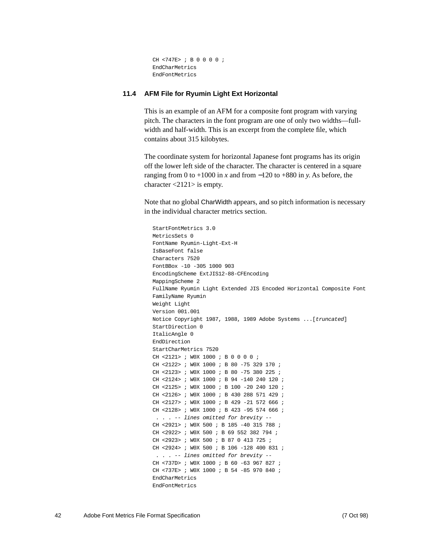```
CH <747E> ; B 0 0 0 0 ;
EndCharMetrics
EndFontMetrics
```
#### <span id="page-41-0"></span>**11.4 AFM File for Ryumin Light Ext Horizontal**

This is an example of an AFM for a composite font program with varying pitch. The characters in the font program are one of only two widths—fullwidth and half-width. This is an excerpt from the complete file, which contains about 315 kilobytes.

The coordinate system for horizontal Japanese font programs has its origin off the lower left side of the character. The character is centered in a square ranging from 0 to  $+1000$  in *x* and from  $-120$  to  $+880$  in *y*. As before, the character <2121> is empty.

Note that no global CharWidth appears, and so pitch information is necessary in the individual character metrics section.

StartFontMetrics 3.0 MetricsSets 0 FontName Ryumin-Light-Ext-H IsBaseFont false Characters 7520 FontBBox -10 -305 1000 903 EncodingScheme ExtJIS12-88-CFEncoding MappingScheme 2 FullName Ryumin Light Extended JIS Encoded Horizontal Composite Font FamilyName Ryumin Weight Light Version 001.001 Notice Copyright 1987, 1988, 1989 Adobe Systems ...[truncated] StartDirection 0 ItalicAngle 0 EndDirection StartCharMetrics 7520 CH <2121> ; W0X 1000 ; B 0 0 0 0 ; CH <2122> ; W0X 1000 ; B 80 -75 329 170 ; CH <2123> ; W0X 1000 ; B 80 -75 380 225 ; CH <2124> ; W0X 1000 ; B 94 -140 240 120 ; CH <2125> ; W0X 1000 ; B 100 -20 240 120 ; CH <2126> ; W0X 1000 ; B 430 288 571 429 ; CH <2127> ; W0X 1000 ; B 429 -21 572 666 ; CH <2128> ; W0X 1000 ; B 423 -95 574 666 ; . . . -- lines omitted for brevity -- CH <2921> ; W0X 500 ; B 185 -40 315 788 ; CH <2922> ; W0X 500 ; B 69 552 382 794 ; CH <2923> ; W0X 500 ; B 87 0 413 725 ; CH <2924> ; W0X 500 ; B 106 -128 400 831 ; . . . -- lines omitted for brevity -- CH <737D> ; W0X 1000 ; B 60 -63 967 827 ; CH <737E> ; W0X 1000 ; B 54 -85 970 840 ; EndCharMetrics EndFontMetrics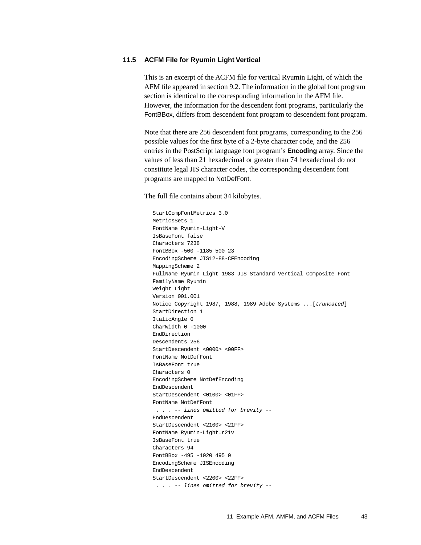#### <span id="page-42-0"></span>**11.5 ACFM File for Ryumin Light Vertical**

This is an excerpt of the ACFM file for vertical Ryumin Light, of which the AFM file appeared in [section 9.2.](#page-35-0) The information in the global font program section is identical to the corresponding information in the AFM file. However, the information for the descendent font programs, particularly the FontBBox, differs from descendent font program to descendent font program.

Note that there are 256 descendent font programs, corresponding to the 256 possible values for the first byte of a 2-byte character code, and the 256 entries in the PostScript language font program's **Encoding** array. Since the values of less than 21 hexadecimal or greater than 74 hexadecimal do not constitute legal JIS character codes, the corresponding descendent font programs are mapped to NotDefFont.

The full file contains about 34 kilobytes.

StartCompFontMetrics 3.0 MetricsSets 1 FontName Ryumin-Light-V IsBaseFont false Characters 7238 FontBBox -500 -1185 500 23 EncodingScheme JIS12-88-CFEncoding MappingScheme 2 FullName Ryumin Light 1983 JIS Standard Vertical Composite Font FamilyName Ryumin Weight Light Version 001.001 Notice Copyright 1987, 1988, 1989 Adobe Systems ...[truncated] StartDirection 1 ItalicAngle 0 CharWidth 0 -1000 EndDirection Descendents 256 StartDescendent <0000> <00FF> FontName NotDefFont IsBaseFont true Characters 0 EncodingScheme NotDefEncoding EndDescendent StartDescendent <0100> <01FF> FontName NotDefFont . . . -- lines omitted for brevity -- EndDescendent StartDescendent <2100> <21FF> FontName Ryumin-Light.r21v IsBaseFont true Characters 94 FontBBox -495 -1020 495 0 EncodingScheme JISEncoding EndDescendent StartDescendent <2200> <22FF> . . . -- lines omitted for brevity --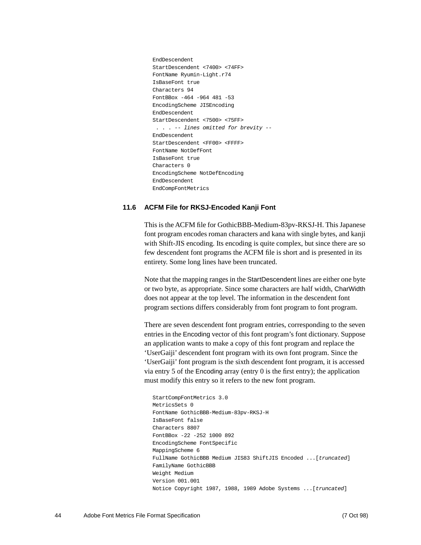EndDescendent StartDescendent <7400> <74FF> FontName Ryumin-Light.r74 IsBaseFont true Characters 94 FontBBox -464 -964 481 -53 EncodingScheme JISEncoding EndDescendent StartDescendent <7500> <75FF> . . . -- lines omitted for brevity -- EndDescendent StartDescendent <FF00> <FFFF> FontName NotDefFont IsBaseFont true Characters 0 EncodingScheme NotDefEncoding EndDescendent EndCompFontMetrics

#### <span id="page-43-0"></span>**11.6 ACFM File for RKSJ-Encoded Kanji Font**

This is the ACFM file for GothicBBB-Medium-83pv-RKSJ-H. This Japanese font program encodes roman characters and kana with single bytes, and kanji with Shift-JIS encoding. Its encoding is quite complex, but since there are so few descendent font programs the ACFM file is short and is presented in its entirety. Some long lines have been truncated.

Note that the mapping ranges in the StartDescendent lines are either one byte or two byte, as appropriate. Since some characters are half width, CharWidth does not appear at the top level. The information in the descendent font program sections differs considerably from font program to font program.

There are seven descendent font program entries, corresponding to the seven entries in the Encoding vector of this font program's font dictionary. Suppose an application wants to make a copy of this font program and replace the 'UserGaiji' descendent font program with its own font program. Since the 'UserGaiji' font program is the sixth descendent font program, it is accessed via entry 5 of the Encoding array (entry 0 is the first entry); the application must modify this entry so it refers to the new font program.

```
StartCompFontMetrics 3.0
MetricsSets 0
FontName GothicBBB-Medium-83pv-RKSJ-H
IsBaseFont false
Characters 8807
FontBBox -22 -252 1000 892
EncodingScheme FontSpecific
MappingScheme 6
FullName GothicBBB Medium JIS83 ShiftJIS Encoded ... [truncated]
FamilyName GothicBBB
Weight Medium
Version 001.001
Notice Copyright 1987, 1988, 1989 Adobe Systems ...[truncated]
```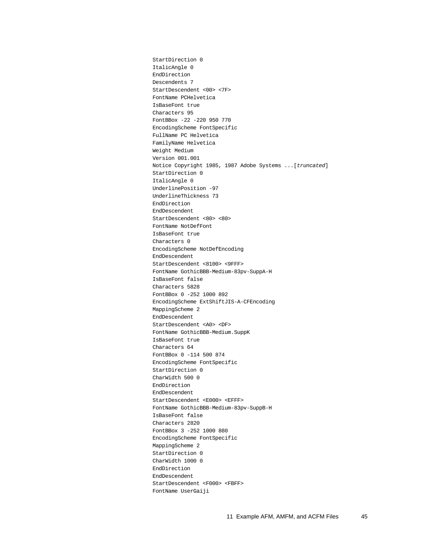StartDirection 0 ItalicAngle 0 EndDirection Descendents 7 StartDescendent <00> <7F> FontName PCHelvetica IsBaseFont true Characters 95 FontBBox -22 -220 950 770 EncodingScheme FontSpecific FullName PC Helvetica FamilyName Helvetica Weight Medium Version 001.001 Notice Copyright 1985, 1987 Adobe Systems ...[truncated] StartDirection 0 ItalicAngle 0 UnderlinePosition -97 UnderlineThickness 73 EndDirection EndDescendent StartDescendent <80> <80> FontName NotDefFont IsBaseFont true Characters 0 EncodingScheme NotDefEncoding EndDescendent StartDescendent <8100> <9FFF> FontName GothicBBB-Medium-83pv-SuppA-H IsBaseFont false Characters 5828 FontBBox 0 -252 1000 892 EncodingScheme ExtShiftJIS-A-CFEncoding MappingScheme 2 EndDescendent StartDescendent <A0> <DF> FontName GothicBBB-Medium.SuppK IsBaseFont true Characters 64 FontBBox 0 -114 500 874 EncodingScheme FontSpecific StartDirection 0 CharWidth 500 0 EndDirection EndDescendent StartDescendent <E000> <EFFF> FontName GothicBBB-Medium-83pv-SuppB-H IsBaseFont false Characters 2820 FontBBox 3 -252 1000 880 EncodingScheme FontSpecific MappingScheme 2 StartDirection 0 CharWidth 1000 0 EndDirection EndDescendent StartDescendent <F000> <FBFF> FontName UserGaiji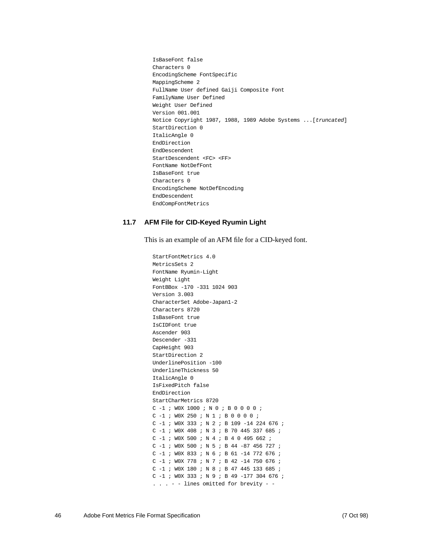IsBaseFont false Characters 0 EncodingScheme FontSpecific MappingScheme 2 FullName User defined Gaiji Composite Font FamilyName User Defined Weight User Defined Version 001.001 Notice Copyright 1987, 1988, 1989 Adobe Systems ...[truncated] StartDirection 0 ItalicAngle 0 EndDirection EndDescendent StartDescendent <FC> <FF> FontName NotDefFont IsBaseFont true Characters 0 EncodingScheme NotDefEncoding EndDescendent EndCompFontMetrics

#### <span id="page-45-0"></span>**11.7 AFM File for CID-Keyed Ryumin Light**

This is an example of an AFM file for a CID-keyed font.

```
StartFontMetrics 4.0
MetricsSets 2
FontName Ryumin-Light
Weight Light
FontBBox -170 -331 1024 903
Version 3.003
CharacterSet Adobe-Japan1-2
Characters 8720
IsBaseFont true
IsCIDFont true
Ascender 903
Descender -331
CapHeight 903
StartDirection 2
UnderlinePosition -100
UnderlineThickness 50
ItalicAngle 0
IsFixedPitch false
EndDirection
StartCharMetrics 8720
C -1 ; W0X 1000 ; N 0 ; B 0 0 0 0 ;
C -1 ; W0X 250 ; N 1 ; B 0 0 0 0 ;
C -1 ; W0X 333 ; N 2 ; B 109 -14 224 676 ;
C -1 ; W0X 408 ; N 3 ; B 70 445 337 685 ;
C -1 ; W0X 500 ; N 4 ; B 4 0 495 662 ;
C -1 ; W0X 500 ; N 5 ; B 44 -87 456 727 ;
C -1 ; W0X 833 ; N 6 ; B 61 -14 772 676 ;
C -1 ; W0X 778 ; N 7 ; B 42 -14 750 676 ;
C -1 ; W0X 180 ; N 8 ; B 47 445 133 685 ;
C -1 ; W0X 333 ; N 9 ; B 49 -177 304 676 ;
. . . - - lines omitted for brevity - -
```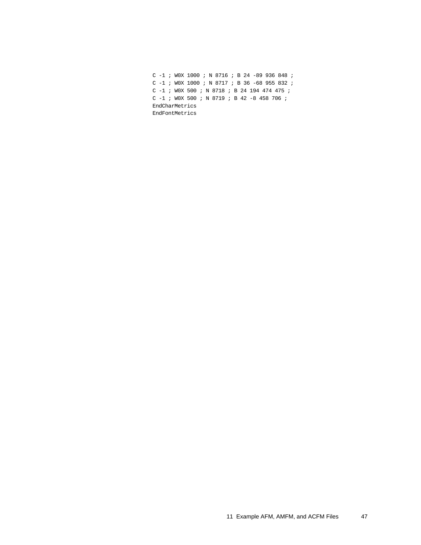|                |  |  |  | C $-1$ ; WOX 1000 ; N 8716 ; B 24 -89 936 848 ; |  |  |  |  |  |  |  |  |  |  |  |  |  |
|----------------|--|--|--|-------------------------------------------------|--|--|--|--|--|--|--|--|--|--|--|--|--|
|                |  |  |  | C $-1$ ; WOX 1000 ; N 8717 ; B 36 -68 955 832 ; |  |  |  |  |  |  |  |  |  |  |  |  |  |
|                |  |  |  | C $-1$ ; WOX 500 ; N 8718 ; B 24 194 474 475 ;  |  |  |  |  |  |  |  |  |  |  |  |  |  |
|                |  |  |  | C $-1$ ; WOX 500 ; N 8719 ; B 42 -8 458 706 ;   |  |  |  |  |  |  |  |  |  |  |  |  |  |
| EndCharMetrics |  |  |  |                                                 |  |  |  |  |  |  |  |  |  |  |  |  |  |
| EndFontMetrics |  |  |  |                                                 |  |  |  |  |  |  |  |  |  |  |  |  |  |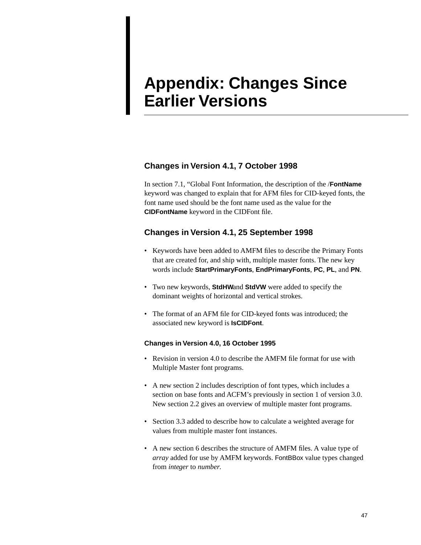## <span id="page-47-0"></span>**Appendix: Changes Since Earlier Versions**

### **Changes in Version 4.1, 7 October 1998**

In [section 7.1, "Global Font Information,](#page-23-2) the description of the /**FontName** keyword was changed to explain that for AFM files for CID-keyed fonts, the font name used should be the font name used as the value for the **CIDFontName** keyword in the CIDFont file.

### **Changes in Version 4.1, 25 September 1998**

- Keywords have been added to AMFM files to describe the Primary Fonts that are created for, and ship with, multiple master fonts. The new key words include **StartPrimaryFonts**, **EndPrimaryFonts**, **PC**, **PL**, and **PN**.
- Two new keywords, **StdHW**and **StdVW** were added to specify the dominant weights of horizontal and vertical strokes.
- The format of an AFM file for CID-keyed fonts was introduced; the associated new keyword is **IsCIDFont**.

#### **Changes in Version 4.0, 16 October 1995**

- Revision in version 4.0 to describe the AMFM file format for use with Multiple Master font programs.
- A new section 2 includes description of font types, which includes a section on base fonts and ACFM's previously in section 1 of version 3.0. New section 2.2 gives an overview of multiple master font programs.
- Section 3.3 added to describe how to calculate a weighted average for values from multiple master font instances.
- A new section 6 describes the structure of AMFM files. A value type of *array* added for use by AMFM keywords. FontBBox value types changed from *integer* to *number*.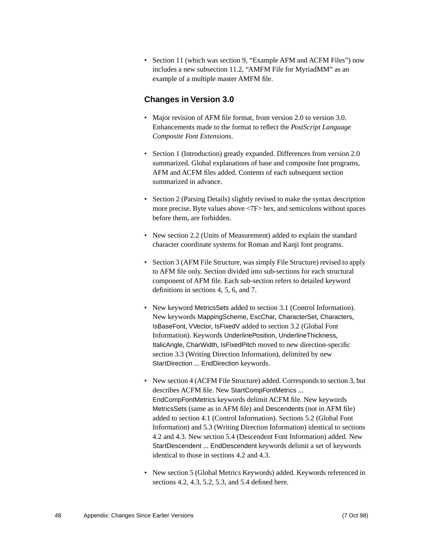• Section 11 (which was section 9, "Example AFM and ACFM Files") now includes a new subsection 11.2, "AMFM File for MyriadMM" as an example of a multiple master AMFM file.

#### **Changes in Version 3.0**

- Major revision of AFM file format, from version 2.0 to version 3.0. Enhancements made to the format to reflect the *PostScript Language Composite Font Extensions*.
- Section 1 (Introduction) greatly expanded. Differences from version 2.0 summarized. Global explanations of base and composite font programs, AFM and ACFM files added. Contents of each subsequent section summarized in advance.
- Section 2 (Parsing Details) slightly revised to make the syntax description more precise. Byte values above <7F> hex, and semicolons without spaces before them, are forbidden.
- New section 2.2 (Units of Measurement) added to explain the standard character coordinate systems for Roman and Kanji font programs.
- Section 3 (AFM File Structure, was simply File Structure) revised to apply to AFM file only. Section divided into sub-sections for each structural component of AFM file. Each sub-section refers to detailed keyword definitions in sections 4, 5, 6, and 7.
- New keyword MetricsSets added to section 3.1 (Control Information). New keywords MappingScheme, EscChar, CharacterSet, Characters, IsBaseFont, VVector, IsFixedV added to section 3.2 (Global Font Information). Keywords UnderlinePosition, UnderlineThickness, ItalicAngle, CharWidth, IsFixedPitch moved to new direction-specific section 3.3 (Writing Direction Information), delimited by new StartDirection ... EndDirection keywords.
- New section 4 (ACFM File Structure) added. Corresponds to section 3, but describes ACFM file. New StartCompFontMetrics ... EndCompFontMetrics keywords delimit ACFM file. New keywords MetricsSets (same as in AFM file) and Descendents (not in AFM file) added to section 4.1 (Control Information). Sections 5.2 (Global Font Information) and 5.3 (Writing Direction Information) identical to sections 4.2 and 4.3. New section 5.4 (Descendent Font Information) added. New StartDescendent ... EndDescendent keywords delimit a set of keywords identical to those in sections 4.2 and 4.3.
- New section 5 (Global Metrics Keywords) added. Keywords referenced in sections 4.2, 4.3, 5.2, 5.3, and 5.4 defined here.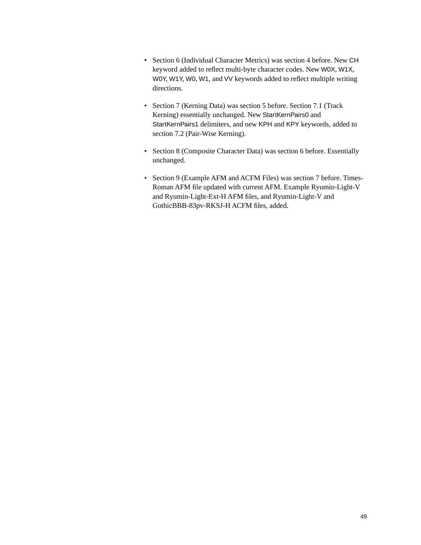- Section 6 (Individual Character Metrics) was section 4 before. New CH keyword added to reflect multi-byte character codes. New W0X, W1X, W0Y, W1Y, W0, W1, and VV keywords added to reflect multiple writing directions.
- Section 7 (Kerning Data) was section 5 before. Section 7.1 (Track Kerning) essentially unchanged. New StartKernPairs0 and StartKernPairs1 delimiters, and new KPH and KPY keywords, added to section 7.2 (Pair-Wise Kerning).
- Section 8 (Composite Character Data) was section 6 before. Essentially unchanged.
- Section 9 (Example AFM and ACFM Files) was section 7 before. Times-Roman AFM file updated with current AFM. Example Ryumin-Light-V and Ryumin-Light-Ext-H AFM files, and Ryumin-Light-V and GothicBBB-83pv-RKSJ-H ACFM files, added.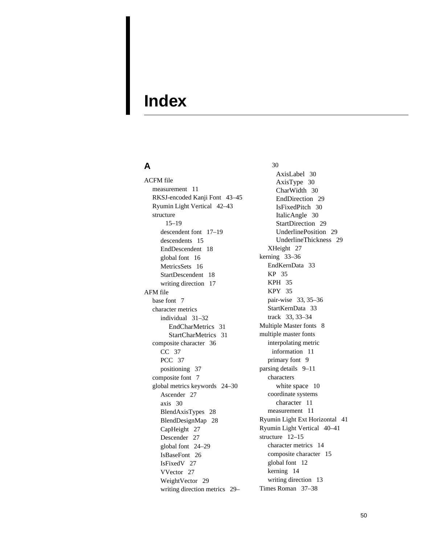## <span id="page-50-0"></span>**Index**

### **A**

ACFM file measurement 11 RKSJ-encoded Kanji Font 43–45 Ryumin Light Vertical 42–43 structure 15–19 descendent font 17–19 descendents 15 EndDescendent 18 global font 16 MetricsSets 16 StartDescendent 18 writing direction 17 AFM file base font 7 character metrics individual 31–32 EndCharMetrics 31 StartCharMetrics 31 composite character 36 CC 37 PCC 37 positioning 37 composite font 7 global metrics keywords 24–30 Ascender 27 axis 30 BlendAxisTypes 28 BlendDesignMap 28 CapHeight 27 Descender 27 global font 24–29 IsBaseFont 26 IsFixedV 27 VVector 27 WeightVector 29 writing direction metrics 29–

30 AxisLabel 30 AxisType 30 CharWidth 30 EndDirection 29 IsFixedPitch 30 ItalicAngle 30 StartDirection 29 UnderlinePosition 29 UnderlineThickness 29 XHeight 27 kerning 33–36 EndKernData 33 KP 35 KPH 35 KPY 35 pair-wise 33, 35–36 StartKernData 33 track 33, 33–34 Multiple Master fonts 8 multiple master fonts interpolating metric information 11 primary font 9 parsing details 9–11 characters white space 10 coordinate systems character 11 measurement 11 Ryumin Light Ext Horizontal 41 Ryumin Light Vertical 40–41 structure 12–15 character metrics 14 composite character 15 global font 12 kerning 14 writing direction 13 Times Roman 37–38